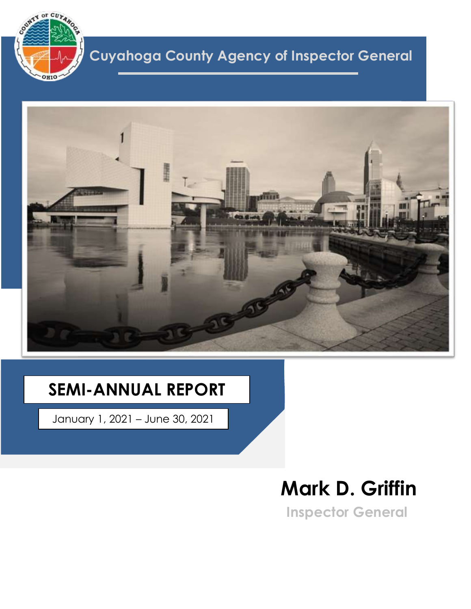

## **Cuyahoga County Agency of Inspector General**



## **SEMI-ANNUAL REPORT**

January 1, 2021 – June 30, 2021

# **Mark D. Griffin**

**Inspector General**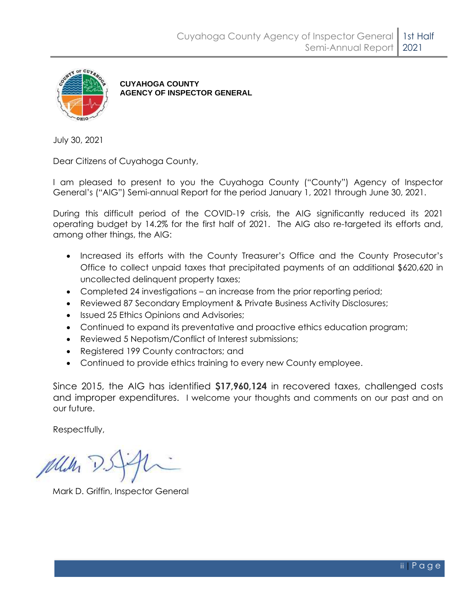

**CUYAHOGA COUNTY AGENCY OF INSPECTOR GENERAL**

July 30, 2021

Dear Citizens of Cuyahoga County,

I am pleased to present to you the Cuyahoga County ("County") Agency of Inspector General's ("AIG") Semi-annual Report for the period January 1, 2021 through June 30, 2021.

During this difficult period of the COVID-19 crisis, the AIG significantly reduced its 2021 operating budget by 14.2% for the first half of 2021. The AIG also re-targeted its efforts and, among other things, the AIG:

- Increased its efforts with the County Treasurer's Office and the County Prosecutor's Office to collect unpaid taxes that precipitated payments of an additional \$620,620 in uncollected delinquent property taxes;
- Completed 24 investigations an increase from the prior reporting period;
- Reviewed 87 Secondary Employment & Private Business Activity Disclosures;
- Issued 25 Ethics Opinions and Advisories;
- Continued to expand its preventative and proactive ethics education program;
- Reviewed 5 Nepotism/Conflict of Interest submissions;
- Registered 199 County contractors; and
- Continued to provide ethics training to every new County employee.

Since 2015, the AIG has identified **\$17,960,124** in recovered taxes, challenged costs and improper expenditures. I welcome your thoughts and comments on our past and on our future.

Respectfully,

pulle

Mark D. Griffin, Inspector General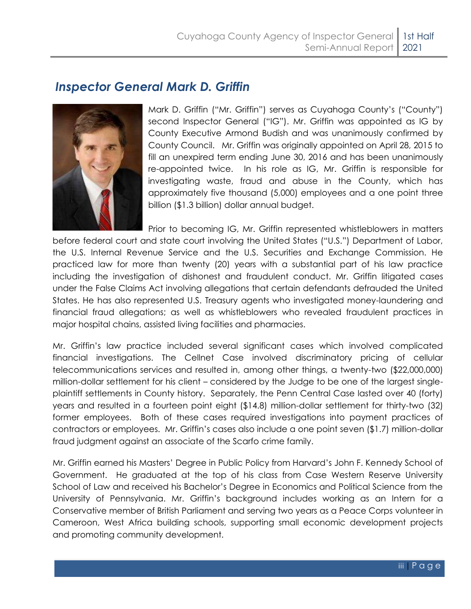#### *Inspector General Mark D. Griffin*



Mark D. Griffin ("Mr. Griffin") serves as Cuyahoga County's ("County") second Inspector General ("IG"). Mr. Griffin was appointed as IG by County Executive Armond Budish and was unanimously confirmed by County Council. Mr. Griffin was originally appointed on April 28, 2015 to fill an unexpired term ending June 30, 2016 and has been unanimously re-appointed twice. In his role as IG, Mr. Griffin is responsible for investigating waste, fraud and abuse in the County, which has approximately five thousand (5,000) employees and a one point three billion (\$1.3 billion) dollar annual budget.

Prior to becoming IG, Mr. Griffin represented whistleblowers in matters before federal court and state court involving the United States ("U.S.") Department of Labor, the U.S. Internal Revenue Service and the U.S. Securities and Exchange Commission. He practiced law for more than twenty (20) years with a substantial part of his law practice including the investigation of dishonest and fraudulent conduct. Mr. Griffin litigated cases under the False Claims Act involving allegations that certain defendants defrauded the United States. He has also represented U.S. Treasury agents who investigated money-laundering and financial fraud allegations; as well as whistleblowers who revealed fraudulent practices in major hospital chains, assisted living facilities and pharmacies.

Mr. Griffin's law practice included several significant cases which involved complicated financial investigations. The Cellnet Case involved discriminatory pricing of cellular telecommunications services and resulted in, among other things, a twenty-two (\$22,000,000) million-dollar settlement for his client – considered by the Judge to be one of the largest singleplaintiff settlements in County history. Separately, the Penn Central Case lasted over 40 (forty) years and resulted in a fourteen point eight (\$14.8) million-dollar settlement for thirty-two (32) former employees. Both of these cases required investigations into payment practices of contractors or employees. Mr. Griffin's cases also include a one point seven (\$1.7) million-dollar fraud judgment against an associate of the Scarfo crime family.

Mr. Griffin earned his Masters' Degree in Public Policy from Harvard's John F. Kennedy School of Government. He graduated at the top of his class from Case Western Reserve University School of Law and received his Bachelor's Degree in Economics and Political Science from the University of Pennsylvania. Mr. Griffin's background includes working as an Intern for a Conservative member of British Parliament and serving two years as a Peace Corps volunteer in Cameroon, West Africa building schools, supporting small economic development projects and promoting community development.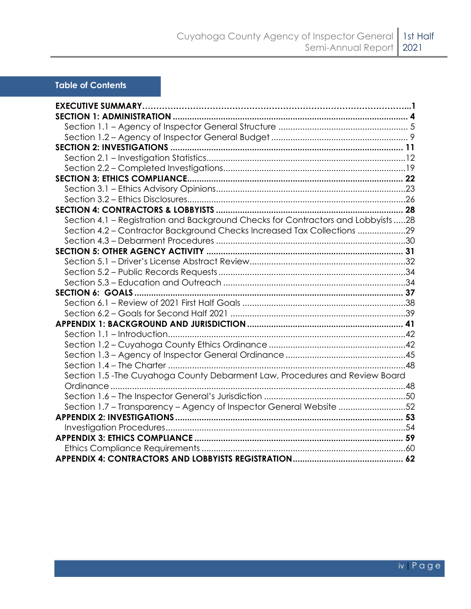#### **Table of Contents**

| Section 4.1 - Registration and Background Checks for Contractors and Lobbyists 28 |  |
|-----------------------------------------------------------------------------------|--|
| Section 4.2 - Contractor Background Checks Increased Tax Collections 29           |  |
|                                                                                   |  |
|                                                                                   |  |
|                                                                                   |  |
|                                                                                   |  |
|                                                                                   |  |
|                                                                                   |  |
|                                                                                   |  |
|                                                                                   |  |
|                                                                                   |  |
|                                                                                   |  |
|                                                                                   |  |
|                                                                                   |  |
|                                                                                   |  |
| Section 1.5 - The Cuyahoga County Debarment Law, Procedures and Review Board      |  |
|                                                                                   |  |
|                                                                                   |  |
| Section 1.7 - Transparency - Agency of Inspector General Website 52               |  |
|                                                                                   |  |
|                                                                                   |  |
|                                                                                   |  |
|                                                                                   |  |
|                                                                                   |  |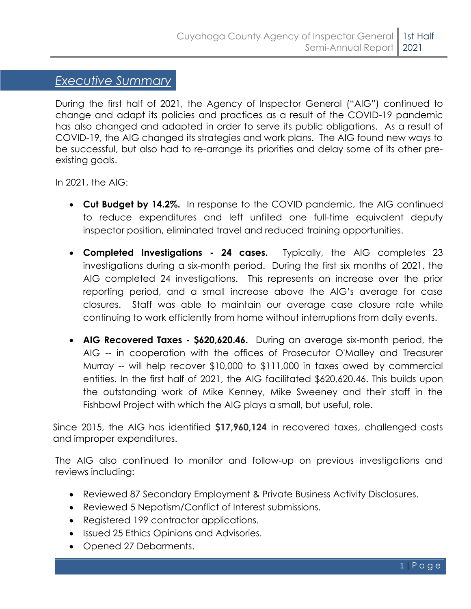#### *Executive Summary*

During the first half of 2021, the Agency of Inspector General ("AIG") continued to change and adapt its policies and practices as a result of the COVID-19 pandemic has also changed and adapted in order to serve its public obligations. As a result of COVID-19, the AIG changed its strategies and work plans. The AIG found new ways to be successful, but also had to re-arrange its priorities and delay some of its other preexisting goals.

In 2021, the AIG:

*E*

- **Cut Budget by 14.2%.** In response to the COVID pandemic, the AIG continued to reduce expenditures and left unfilled one full-time equivalent deputy inspector position, eliminated travel and reduced training opportunities.
- **Completed Investigations - 24 cases.** Typically, the AIG completes 23 investigations during a six-month period. During the first six months of 2021, the AIG completed 24 investigations. This represents an increase over the prior reporting period, and a small increase above the AIG's average for case closures. Staff was able to maintain our average case closure rate while continuing to work efficiently from home without interruptions from daily events.
- **AIG Recovered Taxes - \$620,620.46.** During an average six-month period, the AIG -- in cooperation with the offices of Prosecutor O'Malley and Treasurer Murray -- will help recover \$10,000 to \$111,000 in taxes owed by commercial entities. In the first half of 2021, the AIG facilitated \$620,620.46. This builds upon the outstanding work of Mike Kenney, Mike Sweeney and their staff in the Fishbowl Project with which the AIG plays a small, but useful, role.

Since 2015, the AIG has identified **\$17,960,124** in recovered taxes, challenged costs and improper expenditures.

The AIG also continued to monitor and follow-up on previous investigations and reviews including:

- Reviewed 87 Secondary Employment & Private Business Activity Disclosures.
- Reviewed 5 Nepotism/Conflict of Interest submissions.
- Registered 199 contractor applications.
- Issued 25 Ethics Opinions and Advisories.
- Opened 27 Debarments.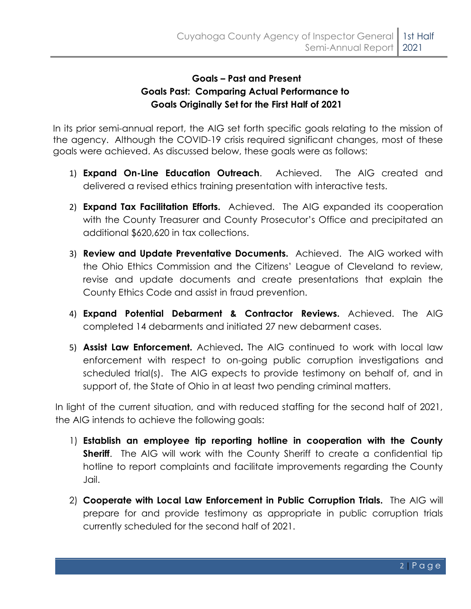#### **Goals – Past and Present Goals Past: Comparing Actual Performance to Goals Originally Set for the First Half of 2021**

In its prior semi-annual report, the AIG set forth specific goals relating to the mission of the agency. Although the COVID-19 crisis required significant changes, most of these goals were achieved. As discussed below, these goals were as follows:

- 1) **Expand On-Line Education Outreach**. Achieved. The AIG created and delivered a revised ethics training presentation with interactive tests.
- 2) **Expand Tax Facilitation Efforts.** Achieved.The AIG expanded its cooperation with the County Treasurer and County Prosecutor's Office and precipitated an additional \$620,620 in tax collections.
- 3) **Review and Update Preventative Documents.** Achieved. The AIG worked with the Ohio Ethics Commission and the Citizens' League of Cleveland to review, revise and update documents and create presentations that explain the County Ethics Code and assist in fraud prevention.
- 4) **Expand Potential Debarment & Contractor Reviews.** Achieved. The AIG completed 14 debarments and initiated 27 new debarment cases.
- 5) **Assist Law Enforcement.** Achieved**.** The AIG continued to work with local law enforcement with respect to on-going public corruption investigations and scheduled trial(s). The AIG expects to provide testimony on behalf of, and in support of, the State of Ohio in at least two pending criminal matters.

In light of the current situation, and with reduced staffing for the second half of 2021, the AIG intends to achieve the following goals:

- 1) **Establish an employee tip reporting hotline in cooperation with the County Sheriff.** The AIG will work with the County Sheriff to create a confidential tip hotline to report complaints and facilitate improvements regarding the County Jail.
- 2) **Cooperate with Local Law Enforcement in Public Corruption Trials.** The AIG will prepare for and provide testimony as appropriate in public corruption trials currently scheduled for the second half of 2021.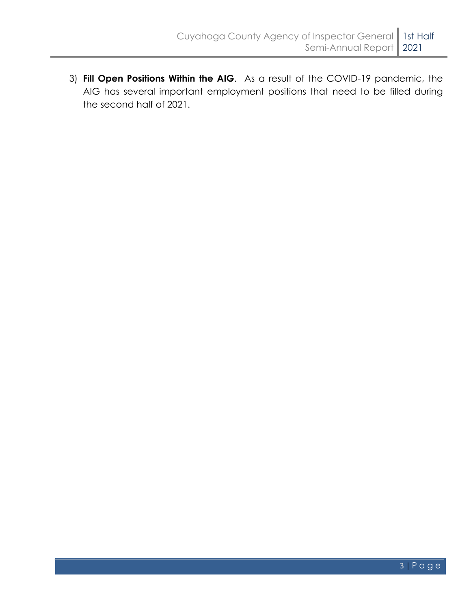3) **Fill Open Positions Within the AIG**. As a result of the COVID-19 pandemic, the AIG has several important employment positions that need to be filled during the second half of 2021.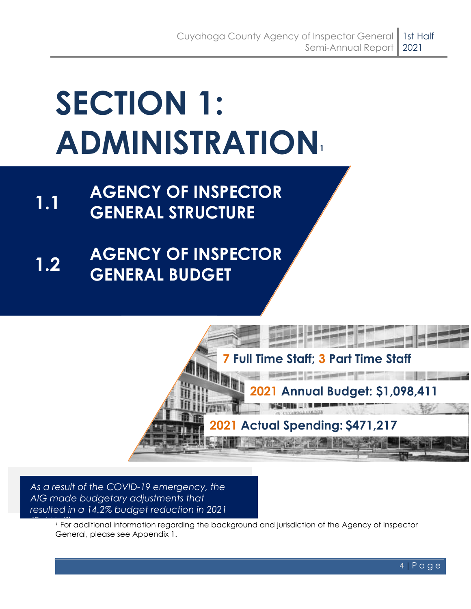# <span id="page-7-0"></span>**SECTION 1: ADMINISTRATION<sup>1</sup>**

- **1.1 AGENCY OF INSPECTOR GENERAL STRUCTURE**
- **1.2 AGENCY OF INSPECTOR GENERAL BUDGET**



*As a result of the COVID-19 emergency, the AIG made budgetary adjustments that resulted in a 14.2% budget reduction in 2021* 

*1* For additional information regarding the background and jurisdiction of the Agency of Inspector General, please see Appendix 1.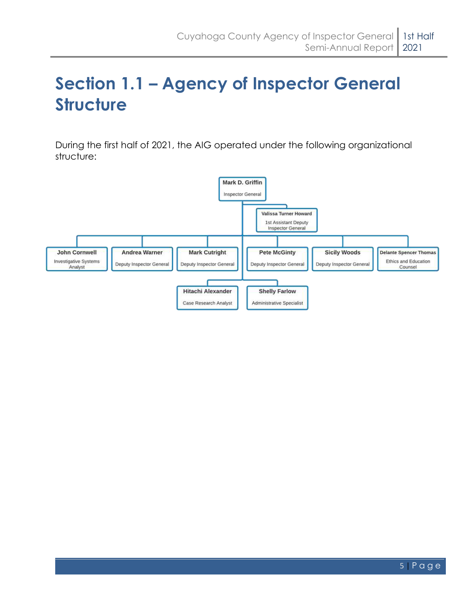## <span id="page-8-0"></span>**Section 1.1 – Agency of Inspector General Structure**

During the first half of 2021, the AIG operated under the following organizational structure:

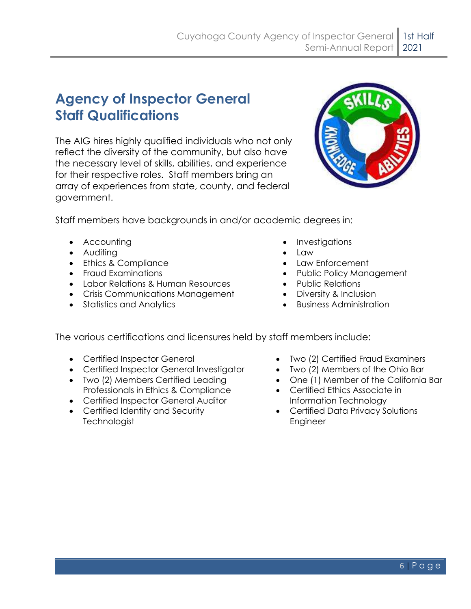### **Agency of Inspector General Staff Qualifications**

The AIG hires highly qualified individuals who not only reflect the diversity of the community, but also have the necessary level of skills, abilities, and experience for their respective roles. Staff members bring an array of experiences from state, county, and federal government.



Staff members have backgrounds in and/or academic degrees in:

- 
- Auditing  **Law**
- Ethics & Compliance Law Enforcement
- Fraud Examinations
- Labor Relations & Human Resources
- Crisis Communications Management
- Statistics and Analytics
- Accounting  **Investigations** 
	-
	-
	- Public Policy Management
	- Public Relations
	- Diversity & Inclusion
	- Business Administration

The various certifications and licensures held by staff members include:

- 
- Certified Inspector General Investigator Two (2) Members of the Ohio Bar
- Two (2) Members Certified Leading Professionals in Ethics & Compliance
- Certified Inspector General Auditor
- Certified Identity and Security **Technologist**
- Certified Inspector General Two (2) Certified Fraud Examiners
	-
	- One (1) Member of the California Bar
	- Certified Ethics Associate in Information Technology
	- Certified Data Privacy Solutions Engineer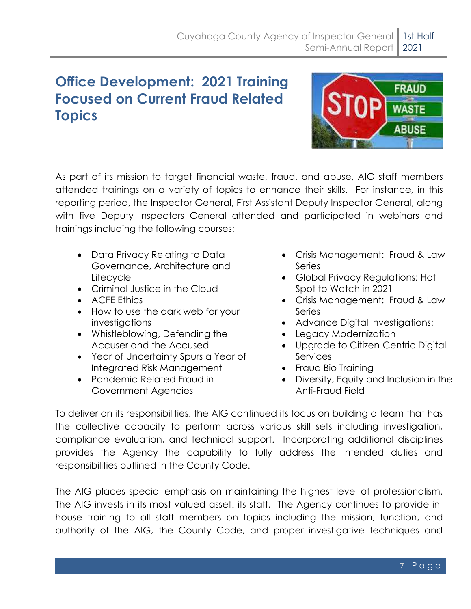### **Office Development: 2021 Training Focused on Current Fraud Related Topics**



As part of its mission to target financial waste, fraud, and abuse, AIG staff members attended trainings on a variety of topics to enhance their skills. For instance, in this reporting period, the Inspector General, First Assistant Deputy Inspector General, along with five Deputy Inspectors General attended and participated in webinars and trainings including the following courses:

- Data Privacy Relating to Data Governance, Architecture and **Lifecycle**
- Criminal Justice in the Cloud
- ACFE Ethics
- How to use the dark web for your investigations
- Whistleblowing, Defending the Accuser and the Accused
- Year of Uncertainty Spurs a Year of Integrated Risk Management
- Pandemic-Related Fraud in Government Agencies
- Crisis Management: Fraud & Law Series
- Global Privacy Regulations: Hot Spot to Watch in 2021
- Crisis Management: Fraud & Law Series
- Advance Digital Investigations:
- Legacy Modernization
- Upgrade to Citizen-Centric Digital **Services**
- Fraud Bio Training
- Diversity, Equity and Inclusion in the Anti-Fraud Field

To deliver on its responsibilities, the AIG continued its focus on building a team that has the collective capacity to perform across various skill sets including investigation, compliance evaluation, and technical support. Incorporating additional disciplines provides the Agency the capability to fully address the intended duties and responsibilities outlined in the County Code.

The AIG places special emphasis on maintaining the highest level of professionalism. The AIG invests in its most valued asset: its staff. The Agency continues to provide inhouse training to all staff members on topics including the mission, function, and authority of the AIG, the County Code, and proper investigative techniques and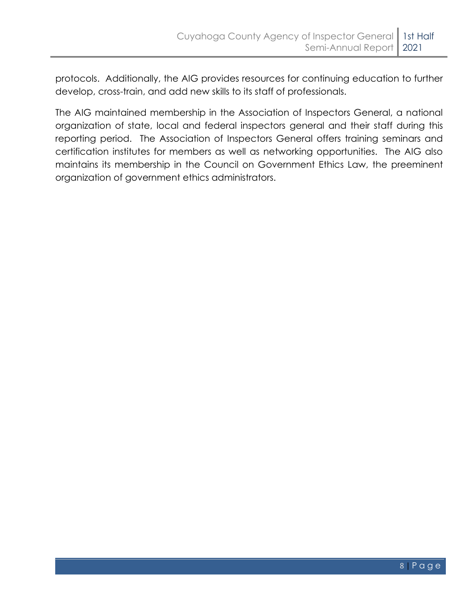protocols. Additionally, the AIG provides resources for continuing education to further develop, cross-train, and add new skills to its staff of professionals.

The AIG maintained membership in the Association of Inspectors General, a national organization of state, local and federal inspectors general and their staff during this reporting period. The Association of Inspectors General offers training seminars and certification institutes for members as well as networking opportunities. The AIG also maintains its membership in the Council on Government Ethics Law, the preeminent organization of government ethics administrators.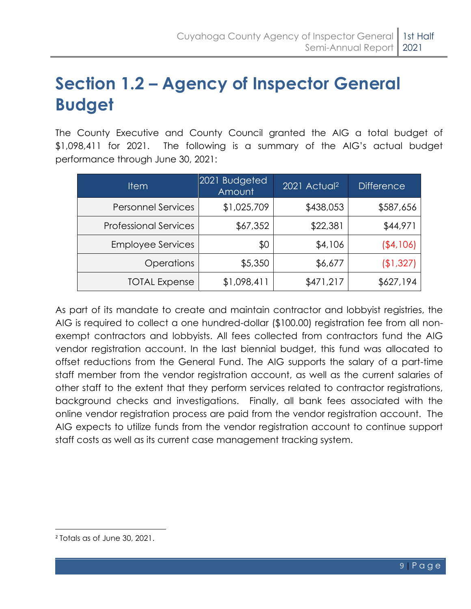## <span id="page-12-0"></span>**Section 1.2 – Agency of Inspector General Budget**

The County Executive and County Council granted the AIG a total budget of \$1,098,411 for 2021. The following is a summary of the AIG's actual budget performance through June 30, 2021:

| <b>Item</b>                  | 2021 Budgeted<br>Amount | 2021 Actual <sup>2</sup> | <b>Difference</b> |
|------------------------------|-------------------------|--------------------------|-------------------|
| <b>Personnel Services</b>    | \$1,025,709             | \$438,053                | \$587,656         |
| <b>Professional Services</b> | \$67,352                | \$22,381                 | \$44,971          |
| <b>Employee Services</b>     | \$0                     | \$4,106                  | (\$4,106)         |
| <b>Operations</b>            | \$5,350                 | \$6,677                  | (\$1,327)         |
| <b>TOTAL Expense</b>         | \$1,098,411             | \$471,217                | \$627,194         |

As part of its mandate to create and maintain contractor and lobbyist registries, the AIG is required to collect a one hundred-dollar (\$100.00) registration fee from all nonexempt contractors and lobbyists. All fees collected from contractors fund the AIG vendor registration account. In the last biennial budget, this fund was allocated to offset reductions from the General Fund. The AIG supports the salary of a part-time staff member from the vendor registration account, as well as the current salaries of other staff to the extent that they perform services related to contractor registrations, background checks and investigations. Finally, all bank fees associated with the online vendor registration process are paid from the vendor registration account. The AIG expects to utilize funds from the vendor registration account to continue support staff costs as well as its current case management tracking system.

<sup>2</sup> Totals as of June 30, 2021.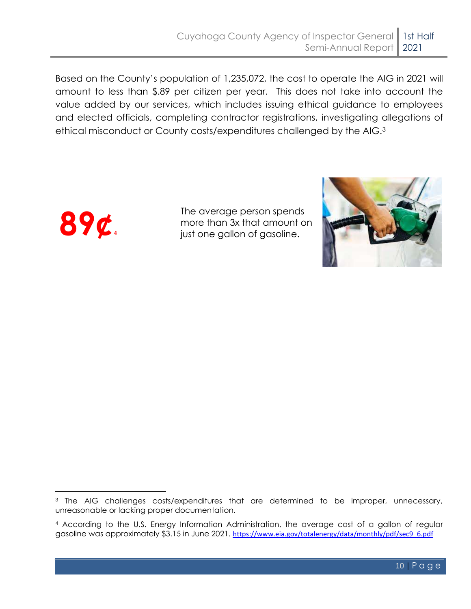Based on the County's population of 1,235,072, the cost to operate the AIG in 2021 will amount to less than \$.89 per citizen per year. This does not take into account the value added by our services, which includes issuing ethical guidance to employees and elected officials, completing contractor registrations, investigating allegations of ethical misconduct or County costs/expenditures challenged by the AIG.<sup>3</sup>



The average person spends more than 3x that amount on just one gallon of gasoline.



<sup>&</sup>lt;sup>3</sup> The AIG challenges costs/expenditures that are determined to be improper, unnecessary, unreasonable or lacking proper documentation.

<sup>4</sup> According to the U.S. Energy Information Administration, the average cost of a gallon of regular gasoline was approximately \$3.15 in June 2021. [https://www.eia.gov/totalenergy/data/monthly/pdf/sec9\\_6.pdf](https://www.eia.gov/totalenergy/data/monthly/pdf/sec9_6.pdf)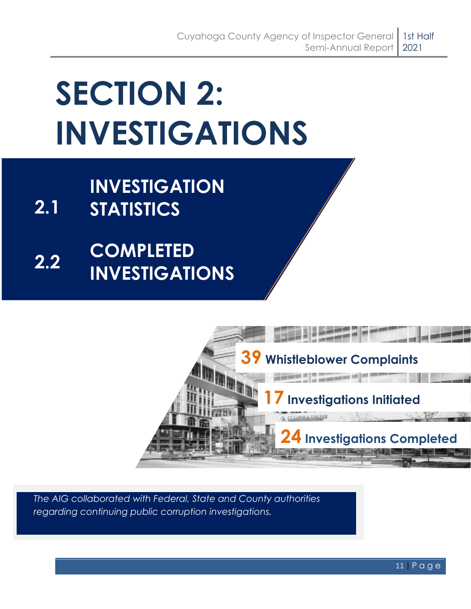# <span id="page-14-0"></span>**SECTION 2: INVESTIGATIONS**

- **2.1 INVESTIGATION STATISTICS**
- **2.2 COMPLETED INVESTIGATIONS**



*The AIG collaborated with Federal, State and County authorities regarding continuing public corruption investigations.*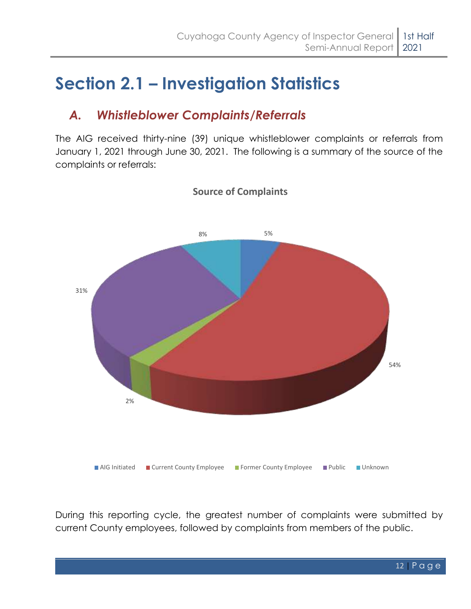## <span id="page-15-0"></span>**Section 2.1 – Investigation Statistics**

### *A. Whistleblower Complaints/Referrals*

The AIG received thirty-nine (39) unique whistleblower complaints or referrals from January 1, 2021 through June 30, 2021. The following is a summary of the source of the complaints or referrals:



#### **Source of Complaints**

During this reporting cycle, the greatest number of complaints were submitted by current County employees, followed by complaints from members of the public.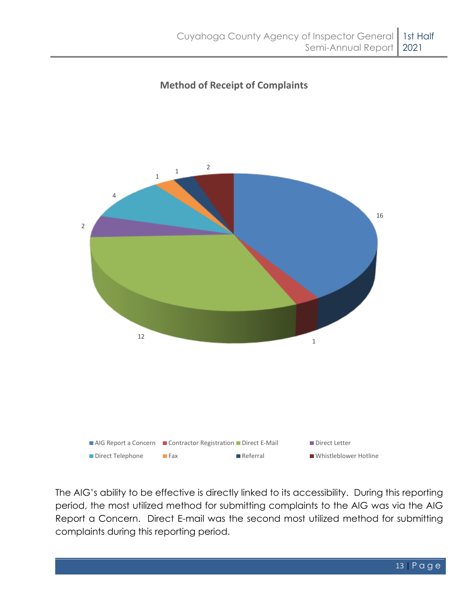#### **Method of Receipt of Complaints**



The AIG's ability to be effective is directly linked to its accessibility. During this reporting period, the most utilized method for submitting complaints to the AIG was via the AIG Report a Concern. Direct E-mail was the second most utilized method for submitting complaints during this reporting period.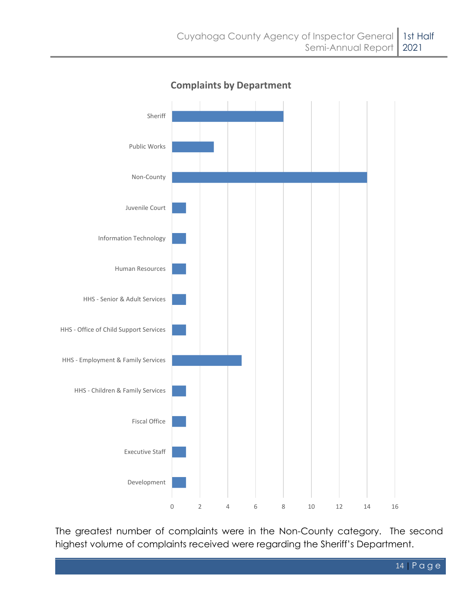

**Complaints by Department**

The greatest number of complaints were in the Non-County category. The second highest volume of complaints received were regarding the Sheriff's Department.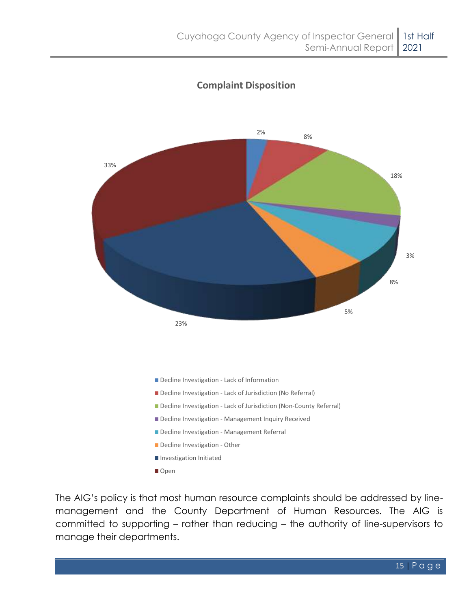

#### **Complaint Disposition**

The AIG's policy is that most human resource complaints should be addressed by linemanagement and the County Department of Human Resources. The AIG is committed to supporting – rather than reducing – the authority of line-supervisors to manage their departments.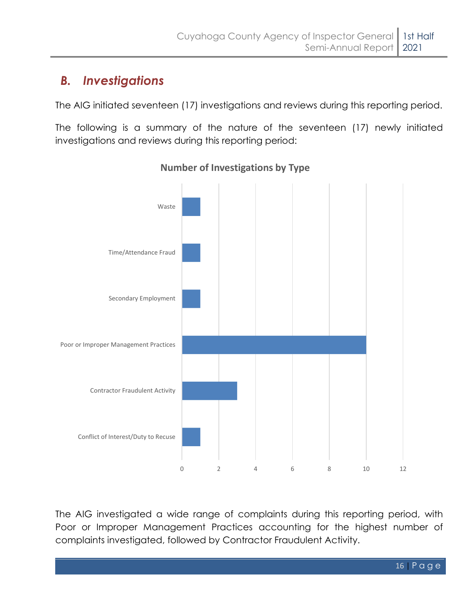### *B. Investigations*

The AIG initiated seventeen (17) investigations and reviews during this reporting period.

The following is a summary of the nature of the seventeen (17) newly initiated investigations and reviews during this reporting period:



**Number of Investigations by Type**

The AIG investigated a wide range of complaints during this reporting period, with Poor or Improper Management Practices accounting for the highest number of complaints investigated, followed by Contractor Fraudulent Activity.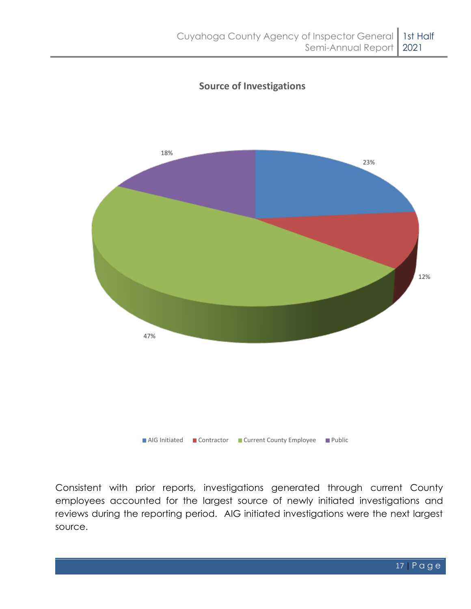

#### **Source of Investigations**

Consistent with prior reports, investigations generated through current County employees accounted for the largest source of newly initiated investigations and reviews during the reporting period. AIG initiated investigations were the next largest source.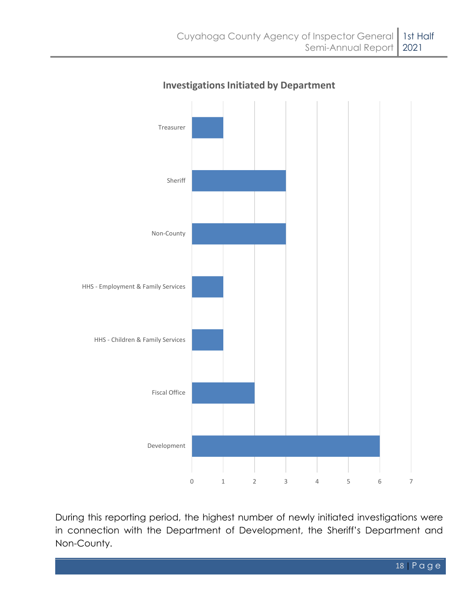

#### **Investigations Initiated by Department**

During this reporting period, the highest number of newly initiated investigations were in connection with the Department of Development, the Sheriff's Department and Non-County.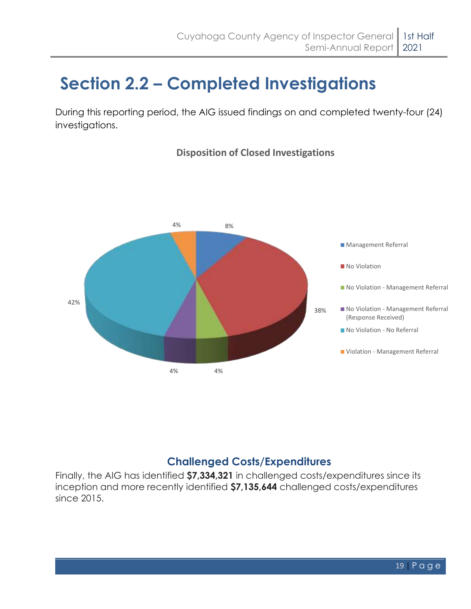## <span id="page-22-0"></span>**Section 2.2 – Completed Investigations**

During this reporting period, the AIG issued findings on and completed twenty-four (24) investigations.



#### **Disposition of Closed Investigations**

#### **Challenged Costs/Expenditures**

Finally, the AIG has identified **\$7,334,321** in challenged costs/expenditures since its inception and more recently identified **\$7,135,644** challenged costs/expenditures since 2015.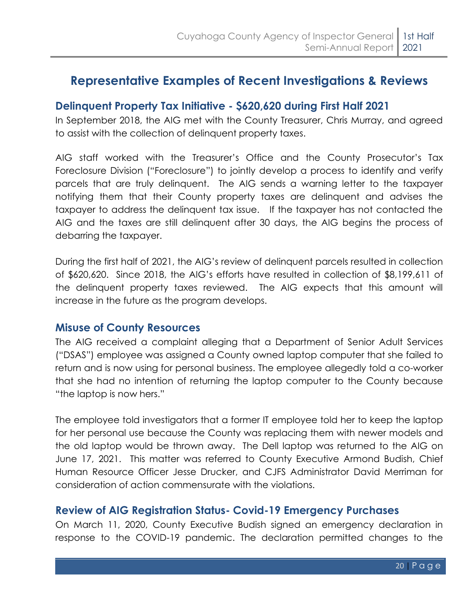### **Representative Examples of Recent Investigations & Reviews**

#### **Delinquent Property Tax Initiative - \$620,620 during First Half 2021**

In September 2018, the AIG met with the County Treasurer, Chris Murray, and agreed to assist with the collection of delinquent property taxes.

AIG staff worked with the Treasurer's Office and the County Prosecutor's Tax Foreclosure Division ("Foreclosure") to jointly develop a process to identify and verify parcels that are truly delinquent. The AIG sends a warning letter to the taxpayer notifying them that their County property taxes are delinquent and advises the taxpayer to address the delinquent tax issue. If the taxpayer has not contacted the AIG and the taxes are still delinquent after 30 days, the AIG begins the process of debarring the taxpayer.

During the first half of 2021, the AIG's review of delinquent parcels resulted in collection of \$620,620. Since 2018, the AIG's efforts have resulted in collection of \$8,199,611 of the delinquent property taxes reviewed. The AIG expects that this amount will increase in the future as the program develops.

#### **Misuse of County Resources**

The AIG received a complaint alleging that a Department of Senior Adult Services ("DSAS") employee was assigned a County owned laptop computer that she failed to return and is now using for personal business. The employee allegedly told a co-worker that she had no intention of returning the laptop computer to the County because "the laptop is now hers."

The employee told investigators that a former IT employee told her to keep the laptop for her personal use because the County was replacing them with newer models and the old laptop would be thrown away. The Dell laptop was returned to the AIG on June 17, 2021. This matter was referred to County Executive Armond Budish, Chief Human Resource Officer Jesse Drucker, and CJFS Administrator David Merriman for consideration of action commensurate with the violations.

#### **Review of AIG Registration Status- Covid-19 Emergency Purchases**

On March 11, 2020, County Executive Budish signed an emergency declaration in response to the COVID-19 pandemic. The declaration permitted changes to the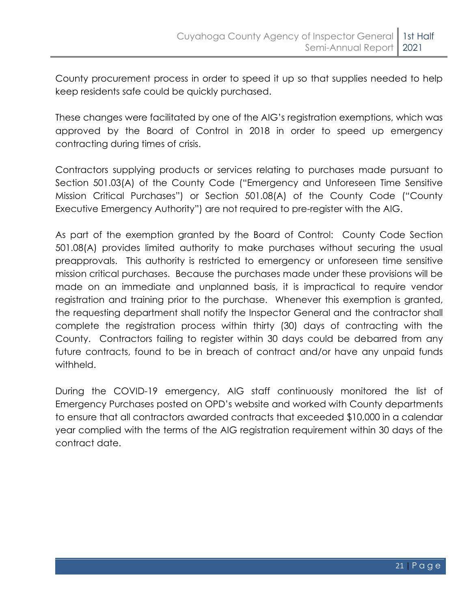County procurement process in order to speed it up so that supplies needed to help keep residents safe could be quickly purchased.

These changes were facilitated by one of the AIG's registration exemptions, which was approved by the Board of Control in 2018 in order to speed up emergency contracting during times of crisis.

Contractors supplying products or services relating to purchases made pursuant to Section 501.03(A) of the County Code ("Emergency and Unforeseen Time Sensitive Mission Critical Purchases") or Section 501.08(A) of the County Code ("County Executive Emergency Authority") are not required to pre-register with the AIG.

As part of the exemption granted by the Board of Control: County Code Section 501.08(A) provides limited authority to make purchases without securing the usual preapprovals. This authority is restricted to emergency or unforeseen time sensitive mission critical purchases. Because the purchases made under these provisions will be made on an immediate and unplanned basis, it is impractical to require vendor registration and training prior to the purchase. Whenever this exemption is granted, the requesting department shall notify the Inspector General and the contractor shall complete the registration process within thirty (30) days of contracting with the County. Contractors failing to register within 30 days could be debarred from any future contracts, found to be in breach of contract and/or have any unpaid funds withheld.

During the COVID-19 emergency, AIG staff continuously monitored the list of Emergency Purchases posted on OPD's website and worked with County departments to ensure that all contractors awarded contracts that exceeded \$10,000 in a calendar year complied with the terms of the AIG registration requirement within 30 days of the contract date.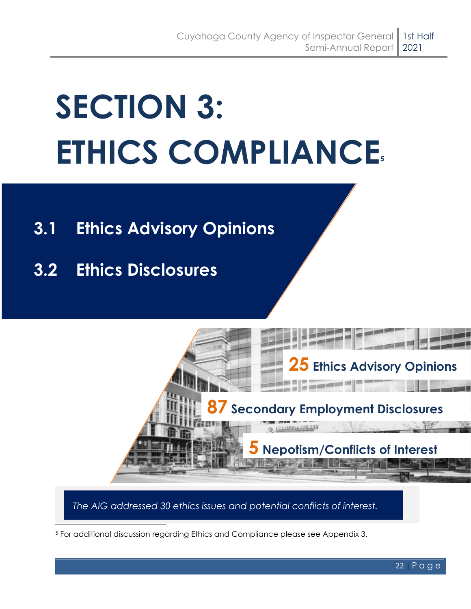# <span id="page-25-0"></span>**SECTION 3: ETHICS COMPLIANCE<sup>5</sup>**

## **3.1 Ethics Advisory Opinions**

**3.2 Ethics Disclosures**



*The AIG addressed 30 ethics issues and potential conflicts of interest.*

<sup>5</sup> For additional discussion regarding Ethics and Compliance please see Appendix 3.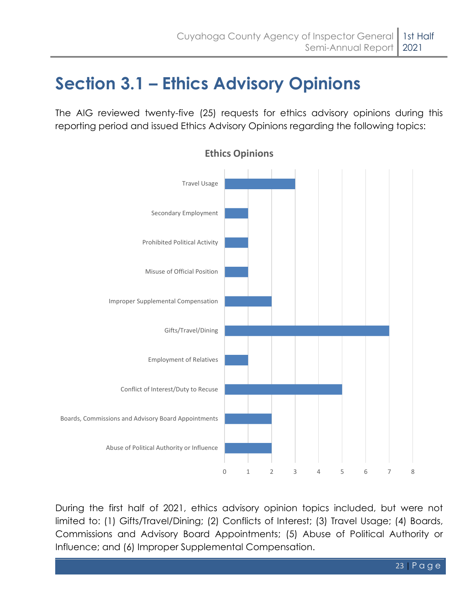## <span id="page-26-0"></span>**Section 3.1 – Ethics Advisory Opinions**

The AIG reviewed twenty-five (25) requests for ethics advisory opinions during this reporting period and issued Ethics Advisory Opinions regarding the following topics:



**Ethics Opinions**

During the first half of 2021, ethics advisory opinion topics included, but were not limited to: (1) Gifts/Travel/Dining; (2) Conflicts of Interest; (3) Travel Usage; (4) Boards, Commissions and Advisory Board Appointments; (5) Abuse of Political Authority or Influence; and (6) Improper Supplemental Compensation.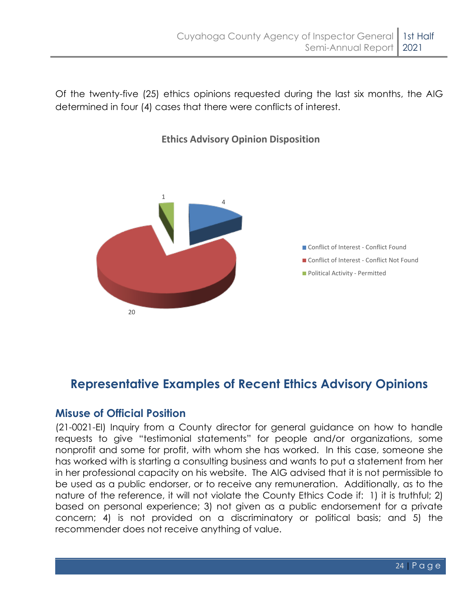Of the twenty-five (25) ethics opinions requested during the last six months, the AIG determined in four (4) cases that there were conflicts of interest.



#### **Ethics Advisory Opinion Disposition**

### **Representative Examples of Recent Ethics Advisory Opinions**

#### **Misuse of Official Position**

(21-0021-EI) Inquiry from a County director for general guidance on how to handle requests to give "testimonial statements" for people and/or organizations, some nonprofit and some for profit, with whom she has worked. In this case, someone she has worked with is starting a consulting business and wants to put a statement from her in her professional capacity on his website. The AIG advised that it is not permissible to be used as a public endorser, or to receive any remuneration. Additionally, as to the nature of the reference, it will not violate the County Ethics Code if: 1) it is truthful; 2) based on personal experience; 3) not given as a public endorsement for a private concern; 4) is not provided on a discriminatory or political basis; and 5) the recommender does not receive anything of value.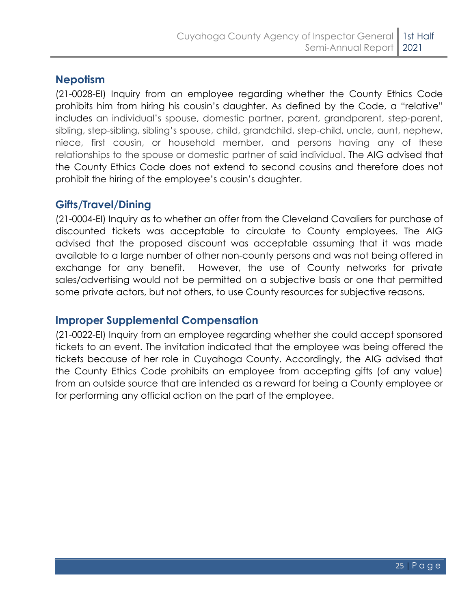#### **Nepotism**

(21-0028-EI) Inquiry from an employee regarding whether the County Ethics Code prohibits him from hiring his cousin's daughter. As defined by the Code, a "relative" includes an individual's spouse, domestic partner, parent, grandparent, step-parent, sibling, step-sibling, sibling's spouse, child, grandchild, step-child, uncle, aunt, nephew, niece, first cousin, or household member, and persons having any of these relationships to the spouse or domestic partner of said individual. The AIG advised that the County Ethics Code does not extend to second cousins and therefore does not prohibit the hiring of the employee's cousin's daughter.

#### **Gifts/Travel/Dining**

(21-0004-EI) Inquiry as to whether an offer from the Cleveland Cavaliers for purchase of discounted tickets was acceptable to circulate to County employees. The AIG advised that the proposed discount was acceptable assuming that it was made available to a large number of other non-county persons and was not being offered in exchange for any benefit. However, the use of County networks for private sales/advertising would not be permitted on a subjective basis or one that permitted some private actors, but not others, to use County resources for subjective reasons.

#### **Improper Supplemental Compensation**

(21-0022-EI) Inquiry from an employee regarding whether she could accept sponsored tickets to an event. The invitation indicated that the employee was being offered the tickets because of her role in Cuyahoga County. Accordingly, the AIG advised that the County Ethics Code prohibits an employee from accepting gifts (of any value) from an outside source that are intended as a reward for being a County employee or for performing any official action on the part of the employee.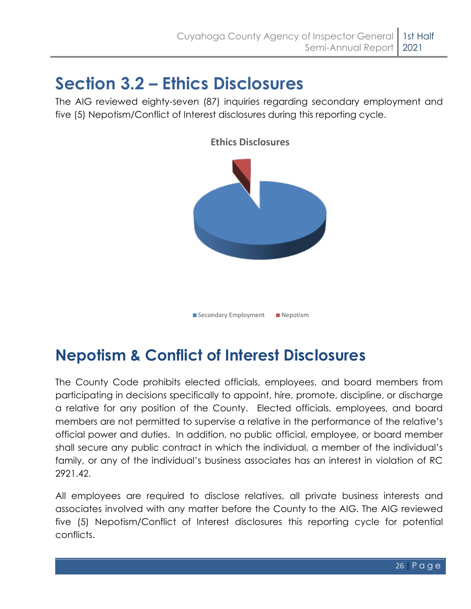## <span id="page-29-0"></span>**Section 3.2 – Ethics Disclosures**

The AIG reviewed eighty-seven (87) inquiries regarding secondary employment and five (5) Nepotism/Conflict of Interest disclosures during this reporting cycle.



**Ethics Disclosures**

Secondary Employment Nepotism

## **Nepotism & Conflict of Interest Disclosures**

The County Code prohibits elected officials, employees, and board members from participating in decisions specifically to appoint, hire, promote, discipline, or discharge a relative for any position of the County. Elected officials, employees, and board members are not permitted to supervise a relative in the performance of the relative's official power and duties. In addition, no public official, employee, or board member shall secure any public contract in which the individual, a member of the individual's family, or any of the individual's business associates has an interest in violation of RC 2921.42.

All employees are required to disclose relatives, all private business interests and associates involved with any matter before the County to the AIG. The AIG reviewed five (5) Nepotism/Conflict of Interest disclosures this reporting cycle for potential conflicts.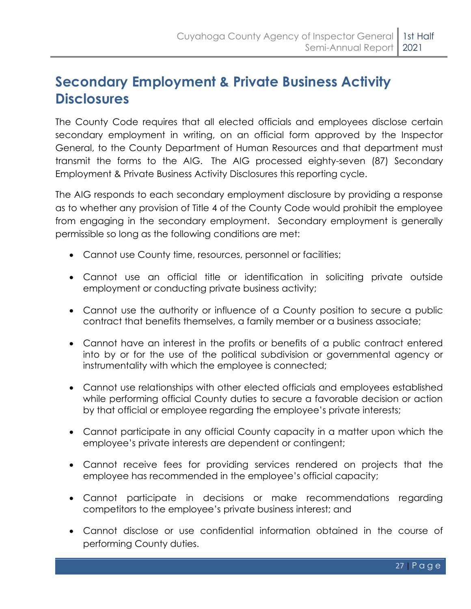## **Secondary Employment & Private Business Activity Disclosures**

The County Code requires that all elected officials and employees disclose certain secondary employment in writing, on an official form approved by the Inspector General, to the County Department of Human Resources and that department must transmit the forms to the AIG. The AIG processed eighty-seven (87) Secondary Employment & Private Business Activity Disclosures this reporting cycle.

The AIG responds to each secondary employment disclosure by providing a response as to whether any provision of Title 4 of the County Code would prohibit the employee from engaging in the secondary employment. Secondary employment is generally permissible so long as the following conditions are met:

- Cannot use County time, resources, personnel or facilities;
- Cannot use an official title or identification in soliciting private outside employment or conducting private business activity;
- Cannot use the authority or influence of a County position to secure a public contract that benefits themselves, a family member or a business associate;
- Cannot have an interest in the profits or benefits of a public contract entered into by or for the use of the political subdivision or governmental agency or instrumentality with which the employee is connected;
- Cannot use relationships with other elected officials and employees established while performing official County duties to secure a favorable decision or action by that official or employee regarding the employee's private interests;
- Cannot participate in any official County capacity in a matter upon which the employee's private interests are dependent or contingent;
- Cannot receive fees for providing services rendered on projects that the employee has recommended in the employee's official capacity;
- Cannot participate in decisions or make recommendations regarding competitors to the employee's private business interest; and
- Cannot disclose or use confidential information obtained in the course of performing County duties.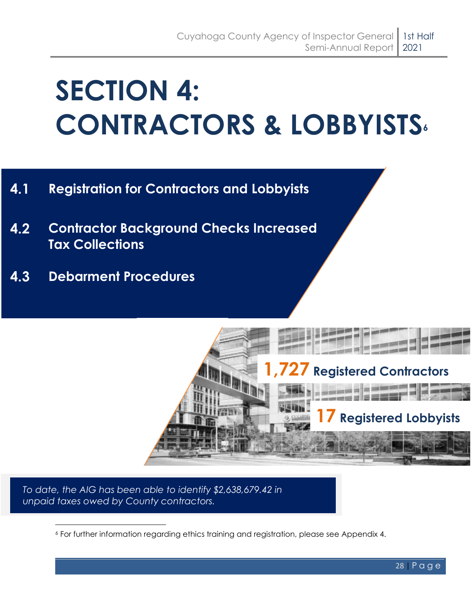# <span id="page-31-0"></span>**SECTION 4: CONTRACTORS & LOBBYISTS<sup>6</sup>**

- **4.1 Registration for Contractors and Lobbyists**
- **4.2 Contractor Background Checks Increased Tax Collections**
- **4.3 Debarment Procedures**

<span id="page-31-1"></span>

*To date, the AIG has been able to identify \$2,638,679.42 in unpaid taxes owed by County contractors.*

<sup>6</sup> For further information regarding ethics training and registration, please see Appendix 4.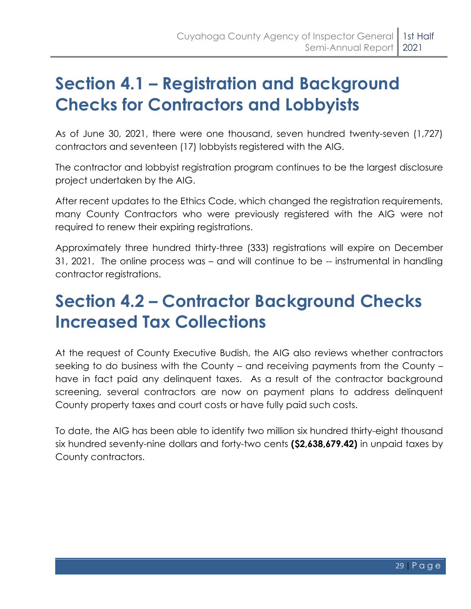## **Section 4.1 – Registration and Background Checks for Contractors and Lobbyists**

As of June 30, 2021, there were one thousand, seven hundred twenty-seven (1,727) contractors and seventeen (17) lobbyists registered with the AIG.

The contractor and lobbyist registration program continues to be the largest disclosure project undertaken by the AIG.

After recent updates to the Ethics Code, which changed the registration requirements, many County Contractors who were previously registered with the AIG were not required to renew their expiring registrations.

Approximately three hundred thirty-three (333) registrations will expire on December 31, 2021. The online process was – and will continue to be -- instrumental in handling contractor registrations.

## <span id="page-32-0"></span>**Section 4.2 – Contractor Background Checks Increased Tax Collections**

At the request of County Executive Budish, the AIG also reviews whether contractors seeking to do business with the County – and receiving payments from the County – have in fact paid any delinquent taxes. As a result of the contractor background screening, several contractors are now on payment plans to address delinquent County property taxes and court costs or have fully paid such costs.

To date, the AIG has been able to identify two million six hundred thirty-eight thousand six hundred seventy-nine dollars and forty-two cents **(\$2,638,679.42)** in unpaid taxes by County contractors.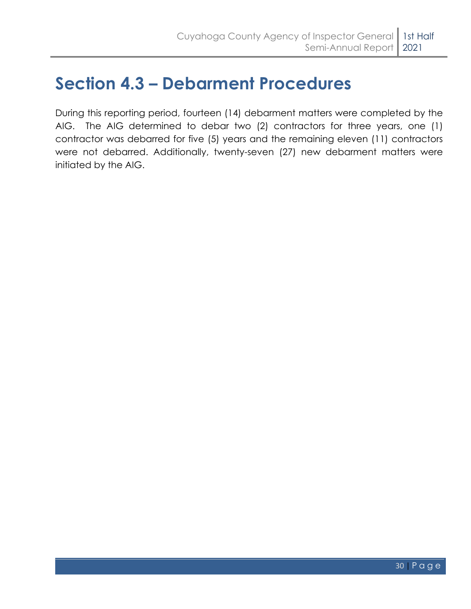## <span id="page-33-0"></span>**Section 4.3 – Debarment Procedures**

During this reporting period, fourteen (14) debarment matters were completed by the AIG. The AIG determined to debar two (2) contractors for three years, one (1) contractor was debarred for five (5) years and the remaining eleven (11) contractors were not debarred. Additionally, twenty-seven (27) new debarment matters were initiated by the AIG.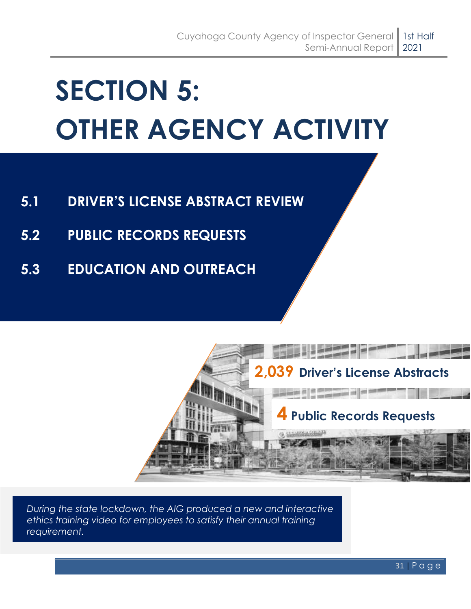# <span id="page-34-0"></span>**SECTION 5: OTHER AGENCY ACTIVITY**

- **5.1 DRIVER'S LICENSE ABSTRACT REVIEW**
- **5.2 PUBLIC RECORDS REQUESTS**
- **5.3 EDUCATION AND OUTREACH**



*During the state lockdown, the AIG produced a new and interactive ethics training video for employees to satisfy their annual training requirement.*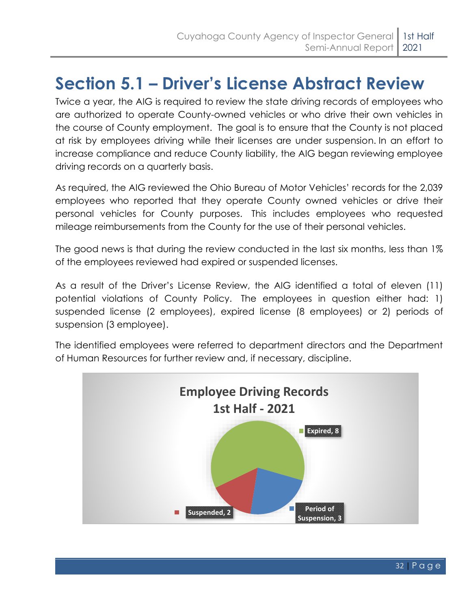## <span id="page-35-0"></span>**Section 5.1 – Driver's License Abstract Review**

Twice a year, the AIG is required to review the state driving records of employees who are authorized to operate County-owned vehicles or who drive their own vehicles in the course of County employment. The goal is to ensure that the County is not placed at risk by employees driving while their licenses are under suspension. In an effort to increase compliance and reduce County liability, the AIG began reviewing employee driving records on a quarterly basis.

As required, the AIG reviewed the Ohio Bureau of Motor Vehicles' records for the 2,039 employees who reported that they operate County owned vehicles or drive their personal vehicles for County purposes. This includes employees who requested mileage reimbursements from the County for the use of their personal vehicles.

The good news is that during the review conducted in the last six months, less than 1% of the employees reviewed had expired or suspended licenses.

As a result of the Driver's License Review, the AIG identified a total of eleven (11) potential violations of County Policy. The employees in question either had: 1) suspended license (2 employees), expired license (8 employees) or 2) periods of suspension (3 employee).

The identified employees were referred to department directors and the Department of Human Resources for further review and, if necessary, discipline.

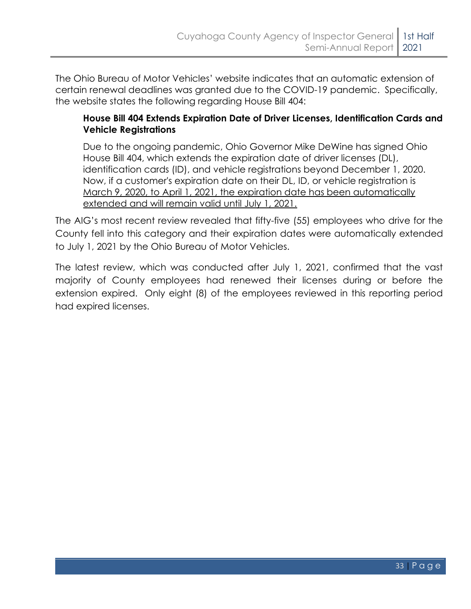The Ohio Bureau of Motor Vehicles' website indicates that an automatic extension of certain renewal deadlines was granted due to the COVID-19 pandemic. Specifically, the website states the following regarding House Bill 404:

#### **House Bill 404 Extends Expiration Date of Driver Licenses, Identification Cards and Vehicle Registrations**

Due to the ongoing pandemic, Ohio Governor Mike DeWine has signed Ohio House Bill 404, which extends the expiration date of driver licenses (DL), identification cards (ID), and vehicle registrations beyond December 1, 2020. Now, if a customer's expiration date on their DL, ID, or vehicle registration is March 9, 2020, to April 1, 2021, the expiration date has been automatically extended and will remain valid until July 1, 2021.

The AIG's most recent review revealed that fifty-five (55) employees who drive for the County fell into this category and their expiration dates were automatically extended to July 1, 2021 by the Ohio Bureau of Motor Vehicles.

The latest review, which was conducted after July 1, 2021, confirmed that the vast majority of County employees had renewed their licenses during or before the extension expired. Only eight (8) of the employees reviewed in this reporting period had expired licenses.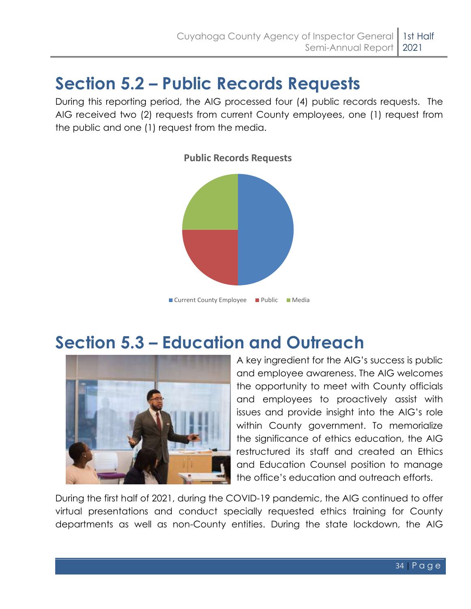## <span id="page-37-0"></span>**Section 5.2 – Public Records Requests**

During this reporting period, the AIG processed four (4) public records requests. The AIG received two (2) requests from current County employees, one (1) request from the public and one (1) request from the media.



## <span id="page-37-1"></span>**Section 5.3 – Education and Outreach**



A key ingredient for the AIG's success is public and employee awareness. The AIG welcomes the opportunity to meet with County officials and employees to proactively assist with issues and provide insight into the AIG's role within County government. To memorialize the significance of ethics education, the AIG restructured its staff and created an Ethics and Education Counsel position to manage the office's education and outreach efforts.

During the first half of 2021, during the COVID-19 pandemic, the AIG continued to offer virtual presentations and conduct specially requested ethics training for County departments as well as non-County entities. During the state lockdown, the AIG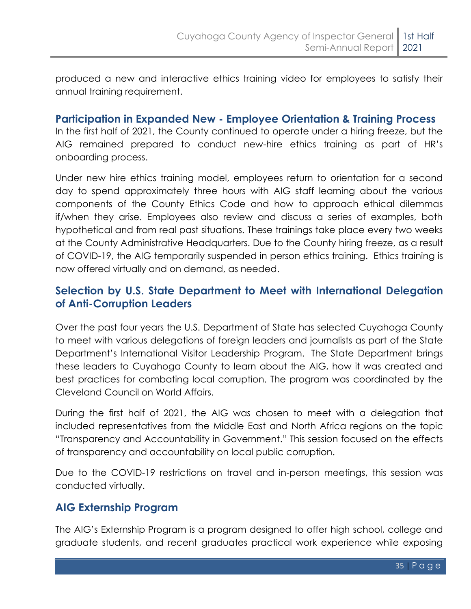produced a new and interactive ethics training video for employees to satisfy their annual training requirement.

#### **Participation in Expanded New - Employee Orientation & Training Process**

In the first half of 2021, the County continued to operate under a hiring freeze, but the AIG remained prepared to conduct new-hire ethics training as part of HR's onboarding process.

Under new hire ethics training model, employees return to orientation for a second day to spend approximately three hours with AIG staff learning about the various components of the County Ethics Code and how to approach ethical dilemmas if/when they arise. Employees also review and discuss a series of examples, both hypothetical and from real past situations. These trainings take place every two weeks at the County Administrative Headquarters. Due to the County hiring freeze, as a result of COVID-19, the AIG temporarily suspended in person ethics training. Ethics training is now offered virtually and on demand, as needed.

#### **Selection by U.S. State Department to Meet with International Delegation of Anti-Corruption Leaders**

Over the past four years the U.S. Department of State has selected Cuyahoga County to meet with various delegations of foreign leaders and journalists as part of the State Department's International Visitor Leadership Program. The State Department brings these leaders to Cuyahoga County to learn about the AIG, how it was created and best practices for combating local corruption. The program was coordinated by the Cleveland Council on World Affairs.

During the first half of 2021, the AIG was chosen to meet with a delegation that included representatives from the Middle East and North Africa regions on the topic "Transparency and Accountability in Government." This session focused on the effects of transparency and accountability on local public corruption.

Due to the COVID-19 restrictions on travel and in-person meetings, this session was conducted virtually.

#### **AIG Externship Program**

The AIG's Externship Program is a program designed to offer high school, college and graduate students, and recent graduates practical work experience while exposing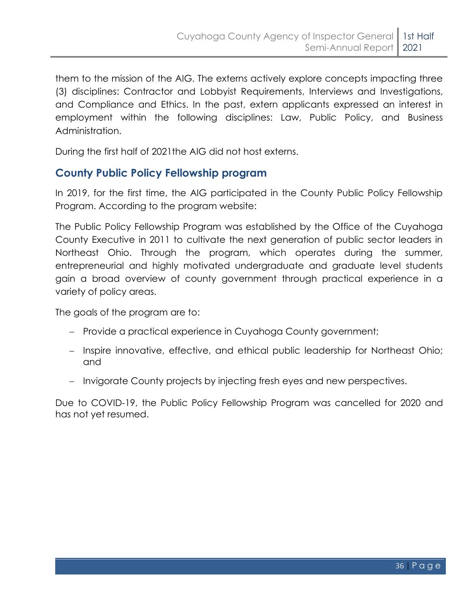them to the mission of the AIG. The externs actively explore concepts impacting three (3) disciplines: Contractor and Lobbyist Requirements, Interviews and Investigations, and Compliance and Ethics. In the past, extern applicants expressed an interest in employment within the following disciplines: Law, Public Policy, and Business Administration.

During the first half of 2021the AIG did not host externs.

#### **County Public Policy Fellowship program**

In 2019, for the first time, the AIG participated in the County Public Policy Fellowship Program. According to the program website:

The Public Policy Fellowship Program was established by the Office of the Cuyahoga County Executive in 2011 to cultivate the next generation of public sector leaders in Northeast Ohio. Through the program, which operates during the summer, entrepreneurial and highly motivated undergraduate and graduate level students gain a broad overview of county government through practical experience in a variety of policy areas.

The goals of the program are to:

- − Provide a practical experience in Cuyahoga County government;
- − Inspire innovative, effective, and ethical public leadership for Northeast Ohio; and
- − Invigorate County projects by injecting fresh eyes and new perspectives.

Due to COVID-19, the Public Policy Fellowship Program was cancelled for 2020 and has not yet resumed.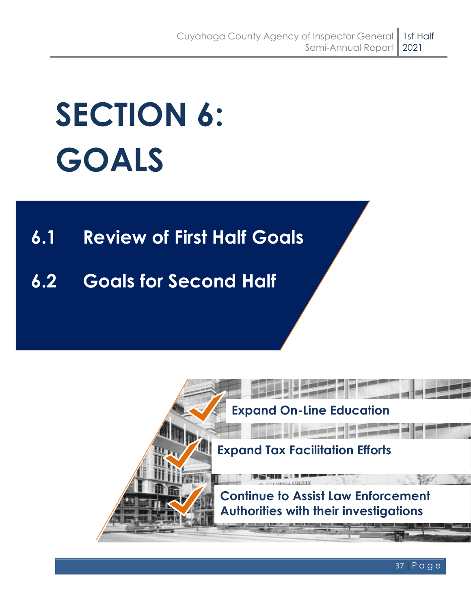# <span id="page-40-0"></span>**SECTION 6: GOALS**

## **6.1 Review of First Half Goals**

## **6.2 Goals for Second Half**

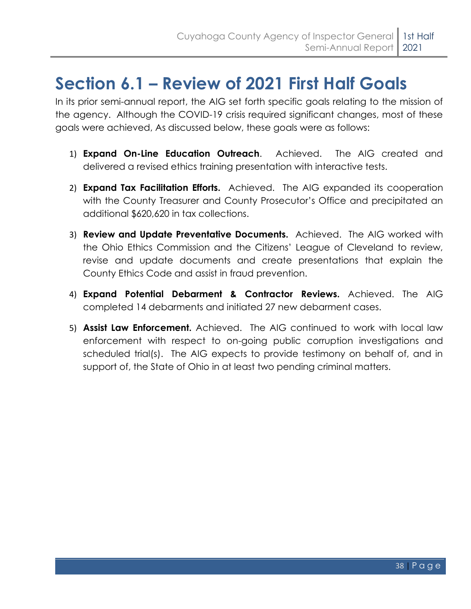## <span id="page-41-0"></span>**Section 6.1 – Review of 2021 First Half Goals**

In its prior semi-annual report, the AIG set forth specific goals relating to the mission of the agency. Although the COVID-19 crisis required significant changes, most of these goals were achieved, As discussed below, these goals were as follows:

- 1) **Expand On-Line Education Outreach**. Achieved. The AIG created and delivered a revised ethics training presentation with interactive tests.
- 2) **Expand Tax Facilitation Efforts.** Achieved.The AIG expanded its cooperation with the County Treasurer and County Prosecutor's Office and precipitated an additional \$620,620 in tax collections.
- 3) **Review and Update Preventative Documents.** Achieved. The AIG worked with the Ohio Ethics Commission and the Citizens' League of Cleveland to review, revise and update documents and create presentations that explain the County Ethics Code and assist in fraud prevention.
- 4) **Expand Potential Debarment & Contractor Reviews.** Achieved. The AIG completed 14 debarments and initiated 27 new debarment cases.
- 5) **Assist Law Enforcement.** Achieved.The AIG continued to work with local law enforcement with respect to on-going public corruption investigations and scheduled trial(s). The AIG expects to provide testimony on behalf of, and in support of, the State of Ohio in at least two pending criminal matters.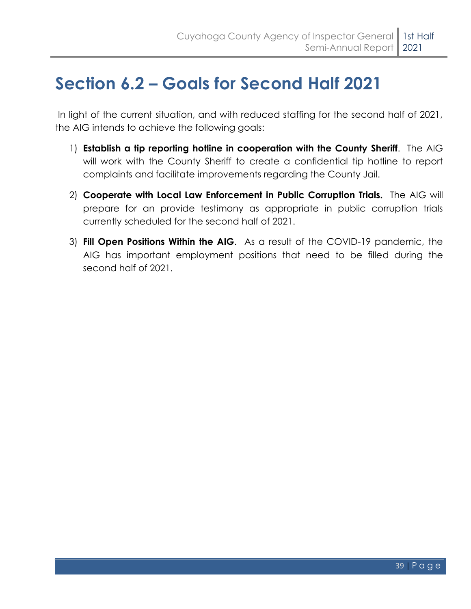## <span id="page-42-0"></span>**Section 6.2 – Goals for Second Half 2021**

In light of the current situation, and with reduced staffing for the second half of 2021, the AIG intends to achieve the following goals:

- 1) **Establish a tip reporting hotline in cooperation with the County Sheriff**. The AIG will work with the County Sheriff to create a confidential tip hotline to report complaints and facilitate improvements regarding the County Jail.
- 2) **Cooperate with Local Law Enforcement in Public Corruption Trials.** The AIG will prepare for an provide testimony as appropriate in public corruption trials currently scheduled for the second half of 2021.
- 3) **Fill Open Positions Within the AIG**. As a result of the COVID-19 pandemic, the AIG has important employment positions that need to be filled during the second half of 2021.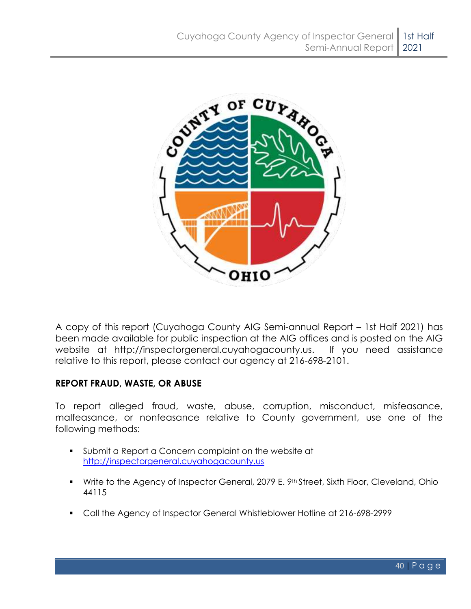

A copy of this report (Cuyahoga County AIG Semi-annual Report – 1st Half 2021) has been made available for public inspection at the AIG offices and is posted on the AIG website at [http://inspectorgeneral.cuyahogacounty.us.](http://inspectorgeneral.cuyahogacounty.us/) If you need assistance relative to this report, please contact our agency at 216-698-2101.

#### **REPORT FRAUD, WASTE, OR ABUSE**

To report alleged fraud, waste, abuse, corruption, misconduct, misfeasance, malfeasance, or nonfeasance relative to County government, use one of the following methods:

- Submit a Report a Concern complaint on the website at [http://inspectorgeneral.cuyahogacounty.us](http://inspectorgeneral.cuyahogacounty.us/)
- **•** Write to the Agency of Inspector General, 2079 E. 9<sup>th</sup> Street, Sixth Floor, Cleveland, Ohio 44115
- Call the Agency of Inspector General Whistleblower Hotline at 216-698-2999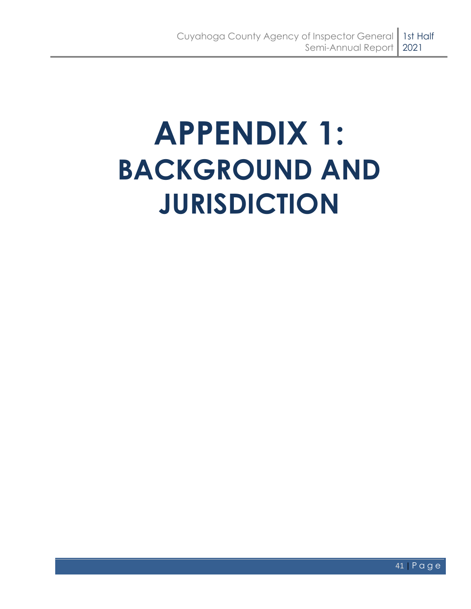# <span id="page-44-0"></span>**APPENDIX 1: BACKGROUND AND JURISDICTION**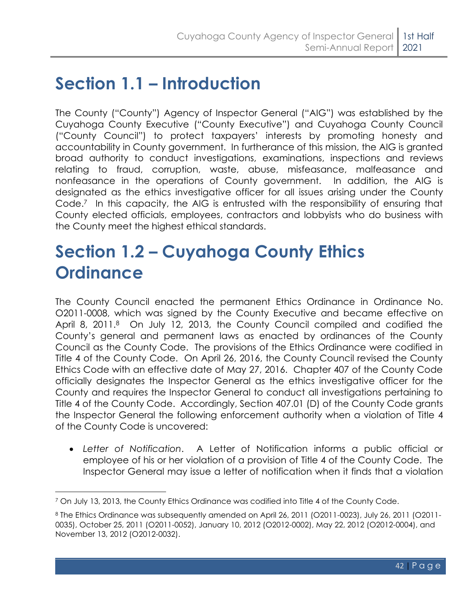## <span id="page-45-0"></span>**Section 1.1 – Introduction**

The County ("County") Agency of Inspector General ("AIG") was established by the Cuyahoga County Executive ("County Executive") and Cuyahoga County Council ("County Council") to protect taxpayers' interests by promoting honesty and accountability in County government. In furtherance of this mission, the AIG is granted broad authority to conduct investigations, examinations, inspections and reviews relating to fraud, corruption, waste, abuse, misfeasance, malfeasance and nonfeasance in the operations of County government. In addition, the AIG is designated as the ethics investigative officer for all issues arising under the County Code. <sup>7</sup> In this capacity, the AIG is entrusted with the responsibility of ensuring that County elected officials, employees, contractors and lobbyists who do business with the County meet the highest ethical standards.

## <span id="page-45-1"></span>**Section 1.2 – Cuyahoga County Ethics Ordinance**

The County Council enacted the permanent Ethics Ordinance in Ordinance No. O2011-0008, which was signed by the County Executive and became effective on April 8, 2011.8 On July 12, 2013, the County Council compiled and codified the County's general and permanent laws as enacted by ordinances of the County Council as the County Code. The provisions of the Ethics Ordinance were codified in Title 4 of the County Code. On April 26, 2016, the County Council revised the County Ethics Code with an effective date of May 27, 2016. Chapter 407 of the County Code officially designates the Inspector General as the ethics investigative officer for the County and requires the Inspector General to conduct all investigations pertaining to Title 4 of the County Code. Accordingly, Section 407.01 (D) of the County Code grants the Inspector General the following enforcement authority when a violation of Title 4 of the County Code is uncovered:

• *Letter of Notification*. A Letter of Notification informs a public official or employee of his or her violation of a provision of Title 4 of the County Code. The Inspector General may issue a letter of notification when it finds that a violation

<sup>7</sup> On July 13, 2013, the County Ethics Ordinance was codified into Title 4 of the County Code.

<sup>8</sup> The Ethics Ordinance was subsequently amended on April 26, 2011 (O2011-0023), July 26, 2011 (O2011- 0035), October 25, 2011 (O2011-0052), January 10, 2012 (O2012-0002), May 22, 2012 (O2012-0004), and November 13, 2012 (O2012-0032).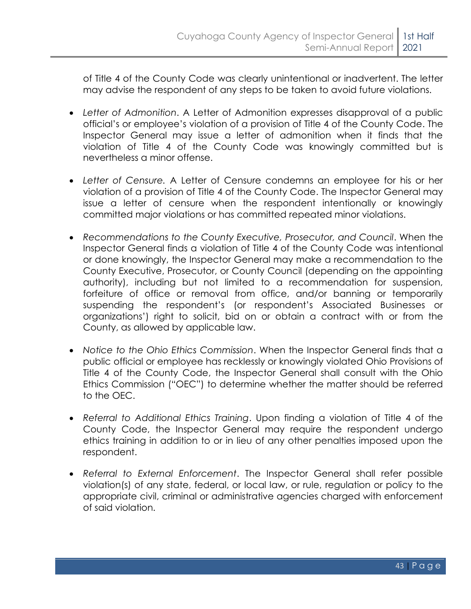of Title 4 of the County Code was clearly unintentional or inadvertent. The letter may advise the respondent of any steps to be taken to avoid future violations.

- *Letter of Admonition*. A Letter of Admonition expresses disapproval of a public official's or employee's violation of a provision of Title 4 of the County Code. The Inspector General may issue a letter of admonition when it finds that the violation of Title 4 of the County Code was knowingly committed but is nevertheless a minor offense.
- *Letter of Censure.* A Letter of Censure condemns an employee for his or her violation of a provision of Title 4 of the County Code. The Inspector General may issue a letter of censure when the respondent intentionally or knowingly committed major violations or has committed repeated minor violations.
- *Recommendations to the County Executive, Prosecutor, and Council*. When the Inspector General finds a violation of Title 4 of the County Code was intentional or done knowingly, the Inspector General may make a recommendation to the County Executive, Prosecutor, or County Council (depending on the appointing authority), including but not limited to a recommendation for suspension, forfeiture of office or removal from office, and/or banning or temporarily suspending the respondent's (or respondent's Associated Businesses or organizations') right to solicit, bid on or obtain a contract with or from the County, as allowed by applicable law.
- *Notice to the Ohio Ethics Commission*. When the Inspector General finds that a public official or employee has recklessly or knowingly violated Ohio Provisions of Title 4 of the County Code, the Inspector General shall consult with the Ohio Ethics Commission ("OEC") to determine whether the matter should be referred to the OEC.
- *Referral to Additional Ethics Training*. Upon finding a violation of Title 4 of the County Code, the Inspector General may require the respondent undergo ethics training in addition to or in lieu of any other penalties imposed upon the respondent.
- *Referral to External Enforcement*. The Inspector General shall refer possible violation(s) of any state, federal, or local law, or rule, regulation or policy to the appropriate civil, criminal or administrative agencies charged with enforcement of said violation.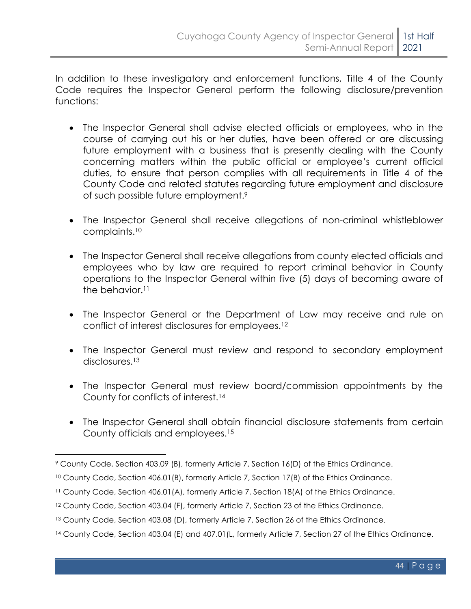In addition to these investigatory and enforcement functions, Title 4 of the County Code requires the Inspector General perform the following disclosure/prevention functions:

- The Inspector General shall advise elected officials or employees, who in the course of carrying out his or her duties, have been offered or are discussing future employment with a business that is presently dealing with the County concerning matters within the public official or employee's current official duties, to ensure that person complies with all requirements in Title 4 of the County Code and related statutes regarding future employment and disclosure of such possible future employment. 9
- The Inspector General shall receive allegations of non-criminal whistleblower complaints.<sup>10</sup>
- The Inspector General shall receive allegations from county elected officials and employees who by law are required to report criminal behavior in County operations to the Inspector General within five (5) days of becoming aware of the behavior.<sup>11</sup>
- The Inspector General or the Department of Law may receive and rule on conflict of interest disclosures for employees.<sup>12</sup>
- The Inspector General must review and respond to secondary employment disclosures.<sup>13</sup>
- The Inspector General must review board/commission appointments by the County for conflicts of interest.<sup>14</sup>
- The Inspector General shall obtain financial disclosure statements from certain County officials and employees.<sup>15</sup>

<sup>9</sup> County Code, Section 403.09 (B), formerly Article 7, Section 16(D) of the Ethics Ordinance.

<sup>&</sup>lt;sup>10</sup> County Code, Section 406.01(B), formerly Article 7, Section 17(B) of the Ethics Ordinance.

<sup>11</sup> County Code, Section 406.01(A), formerly Article 7, Section 18(A) of the Ethics Ordinance.

<sup>12</sup> County Code, Section 403.04 (F), formerly Article 7, Section 23 of the Ethics Ordinance.

<sup>13</sup> County Code, Section 403.08 (D), formerly Article 7, Section 26 of the Ethics Ordinance.

<sup>14</sup> County Code, Section 403.04 (E) and 407.01 (L, formerly Article 7, Section 27 of the Ethics Ordinance.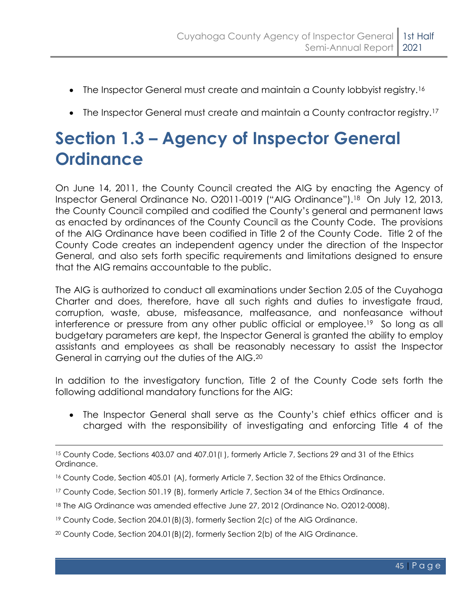- The Inspector General must create and maintain a County lobbyist registry.<sup>16</sup>
- The Inspector General must create and maintain a County contractor registry.<sup>17</sup>

## <span id="page-48-0"></span>**Section 1.3 – Agency of Inspector General Ordinance**

On June 14, 2011, the County Council created the AIG by enacting the Agency of Inspector General Ordinance No. O2011-0019 ("AIG Ordinance").18 On July 12, 2013, the County Council compiled and codified the County's general and permanent laws as enacted by ordinances of the County Council as the County Code. The provisions of the AIG Ordinance have been codified in Title 2 of the County Code. Title 2 of the County Code creates an independent agency under the direction of the Inspector General, and also sets forth specific requirements and limitations designed to ensure that the AIG remains accountable to the public.

The AIG is authorized to conduct all examinations under Section 2.05 of the Cuyahoga Charter and does, therefore, have all such rights and duties to investigate fraud, corruption, waste, abuse, misfeasance, malfeasance, and nonfeasance without interference or pressure from any other public official or employee.<sup>19</sup> So long as all budgetary parameters are kept, the Inspector General is granted the ability to employ assistants and employees as shall be reasonably necessary to assist the Inspector General in carrying out the duties of the AIG.<sup>20</sup>

In addition to the investigatory function, Title 2 of the County Code sets forth the following additional mandatory functions for the AIG:

• The Inspector General shall serve as the County's chief ethics officer and is charged with the responsibility of investigating and enforcing Title 4 of the

<sup>15</sup> County Code, Sections 403.07 and 407.01(I ), formerly Article 7, Sections 29 and 31 of the Ethics Ordinance.

<sup>16</sup> County Code, Section 405.01 (A), formerly Article 7, Section 32 of the Ethics Ordinance.

<sup>17</sup> County Code, Section 501.19 (B), formerly Article 7, Section 34 of the Ethics Ordinance.

<sup>18</sup> The AIG Ordinance was amended effective June 27, 2012 (Ordinance No. O2012-0008).

<sup>19</sup> County Code, Section 204.01(B)(3), formerly Section 2(c) of the AIG Ordinance.

 $20$  County Code, Section 204.01 (B)(2), formerly Section 2(b) of the AIG Ordinance.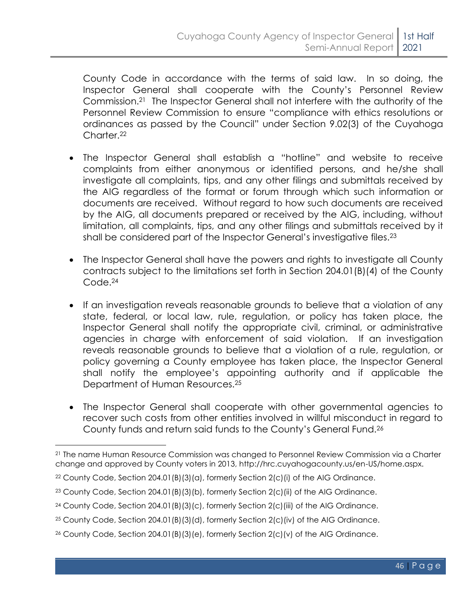County Code in accordance with the terms of said law. In so doing, the Inspector General shall cooperate with the County's Personnel Review Commission.21 The Inspector General shall not interfere with the authority of the Personnel Review Commission to ensure "compliance with ethics resolutions or ordinances as passed by the Council" under Section 9.02(3) of the Cuyahoga Charter.<sup>22</sup>

- The Inspector General shall establish a "hotline" and website to receive complaints from either anonymous or identified persons, and he/she shall investigate all complaints, tips, and any other filings and submittals received by the AIG regardless of the format or forum through which such information or documents are received. Without regard to how such documents are received by the AIG, all documents prepared or received by the AIG, including, without limitation, all complaints, tips, and any other filings and submittals received by it shall be considered part of the Inspector General's investigative files.<sup>23</sup>
- The Inspector General shall have the powers and rights to investigate all County contracts subject to the limitations set forth in Section 204.01(B)(4) of the County Code. 24
- If an investigation reveals reasonable grounds to believe that a violation of any state, federal, or local law, rule, regulation, or policy has taken place, the Inspector General shall notify the appropriate civil, criminal, or administrative agencies in charge with enforcement of said violation. If an investigation reveals reasonable grounds to believe that a violation of a rule, regulation, or policy governing a County employee has taken place, the Inspector General shall notify the employee's appointing authority and if applicable the Department of Human Resources.<sup>25</sup>
- The Inspector General shall cooperate with other governmental agencies to recover such costs from other entities involved in willful misconduct in regard to County funds and return said funds to the County's General Fund.<sup>26</sup>

<sup>21</sup> The name Human Resource Commission was changed to Personnel Review Commission via a Charter change and approved by County voters in 2013, http://hrc.cuyahogacounty.us/en-US/home.aspx.

 $22$  County Code, Section 204.01(B)(3)(a), formerly Section 2(c)(i) of the AIG Ordinance.

<sup>&</sup>lt;sup>23</sup> County Code, Section  $204.01(B)(3)(b)$ , formerly Section  $2(c)(ii)$  of the AIG Ordinance.

<sup>&</sup>lt;sup>24</sup> County Code, Section 204.01(B)(3)(c), formerly Section  $2(c)$ (iii) of the AIG Ordinance.

<sup>25</sup> County Code, Section 204.01(B)(3)(d), formerly Section 2(c)(iv) of the AIG Ordinance.

<sup>26</sup> County Code, Section 204.01(B)(3)(e), formerly Section 2(c)(v) of the AIG Ordinance.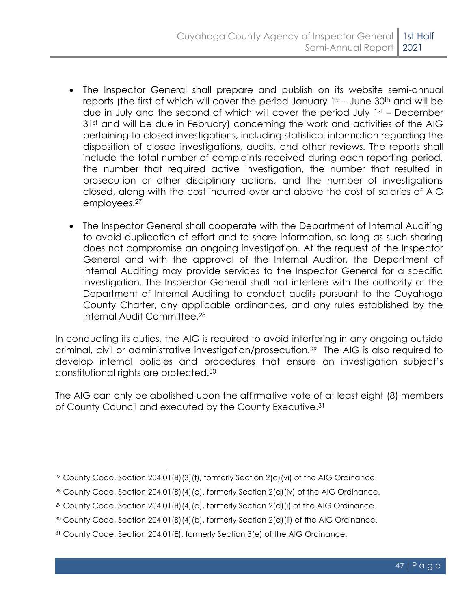- The Inspector General shall prepare and publish on its website semi-annual reports (the first of which will cover the period January  $1st -$  June 30<sup>th</sup> and will be due in July and the second of which will cover the period July 1st – December 31<sup>st</sup> and will be due in February) concerning the work and activities of the AIG pertaining to closed investigations, including statistical information regarding the disposition of closed investigations, audits, and other reviews. The reports shall include the total number of complaints received during each reporting period, the number that required active investigation, the number that resulted in prosecution or other disciplinary actions, and the number of investigations closed, along with the cost incurred over and above the cost of salaries of AIG employees. 27
- The Inspector General shall cooperate with the Department of Internal Auditing to avoid duplication of effort and to share information, so long as such sharing does not compromise an ongoing investigation. At the request of the Inspector General and with the approval of the Internal Auditor, the Department of Internal Auditing may provide services to the Inspector General for a specific investigation. The Inspector General shall not interfere with the authority of the Department of Internal Auditing to conduct audits pursuant to the Cuyahoga County Charter, any applicable ordinances, and any rules established by the Internal Audit Committee.<sup>28</sup>

In conducting its duties, the AIG is required to avoid interfering in any ongoing outside criminal, civil or administrative investigation/prosecution.29 The AIG is also required to develop internal policies and procedures that ensure an investigation subject's constitutional rights are protected.<sup>30</sup>

The AIG can only be abolished upon the affirmative vote of at least eight (8) members of County Council and executed by the County Executive.<sup>31</sup>

*<sup>27</sup>* County Code, Section 204.01(B)(3)(f), formerly Section 2(c)(vi) of the AIG Ordinance.

<sup>28</sup> County Code, Section 204.01(B)(4)(d), formerly Section 2(d)(iv) of the AIG Ordinance.

<sup>&</sup>lt;sup>29</sup> County Code, Section 204.01(B)(4)(a), formerly Section 2(d)(i) of the AIG Ordinance.

<sup>30</sup> County Code, Section 204.01(B)(4)(b), formerly Section 2(d)(ii) of the AIG Ordinance.

<sup>31</sup> County Code, Section 204.01(E), formerly Section 3(e) of the AIG Ordinance.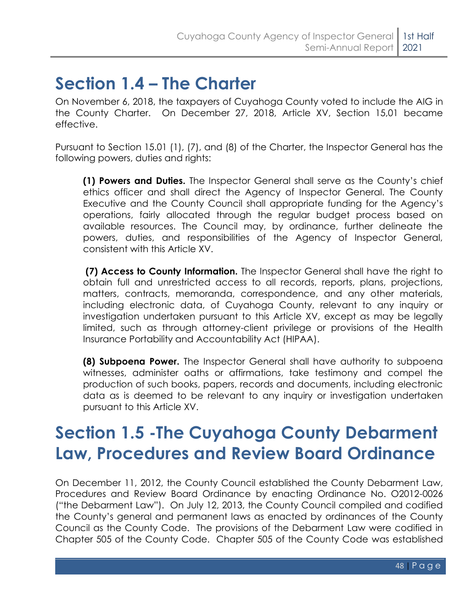## <span id="page-51-0"></span>**Section 1.4 – The Charter**

On November 6, 2018, the taxpayers of Cuyahoga County voted to include the AIG in the County Charter. On December 27, 2018, Article XV, Section 15,01 became effective.

Pursuant to Section 15.01 (1), (7), and (8) of the Charter, the Inspector General has the following powers, duties and rights:

**(1) Powers and Duties.** The Inspector General shall serve as the County's chief ethics officer and shall direct the Agency of Inspector General. The County Executive and the County Council shall appropriate funding for the Agency's operations, fairly allocated through the regular budget process based on available resources. The Council may, by ordinance, further delineate the powers, duties, and responsibilities of the Agency of Inspector General, consistent with this Article XV.

**(7) Access to County Information.** The Inspector General shall have the right to obtain full and unrestricted access to all records, reports, plans, projections, matters, contracts, memoranda, correspondence, and any other materials, including electronic data, of Cuyahoga County, relevant to any inquiry or investigation undertaken pursuant to this Article XV, except as may be legally limited, such as through attorney-client privilege or provisions of the Health Insurance Portability and Accountability Act (HIPAA).

**(8) Subpoena Power.** The Inspector General shall have authority to subpoena witnesses, administer oaths or affirmations, take testimony and compel the production of such books, papers, records and documents, including electronic data as is deemed to be relevant to any inquiry or investigation undertaken pursuant to this Article XV.

## <span id="page-51-1"></span>**Section 1.5 -The Cuyahoga County Debarment Law, Procedures and Review Board Ordinance**

On December 11, 2012, the County Council established the County Debarment Law, Procedures and Review Board Ordinance by enacting Ordinance No. O2012-0026 ("the Debarment Law"). On July 12, 2013, the County Council compiled and codified the County's general and permanent laws as enacted by ordinances of the County Council as the County Code. The provisions of the Debarment Law were codified in Chapter 505 of the County Code. Chapter 505 of the County Code was established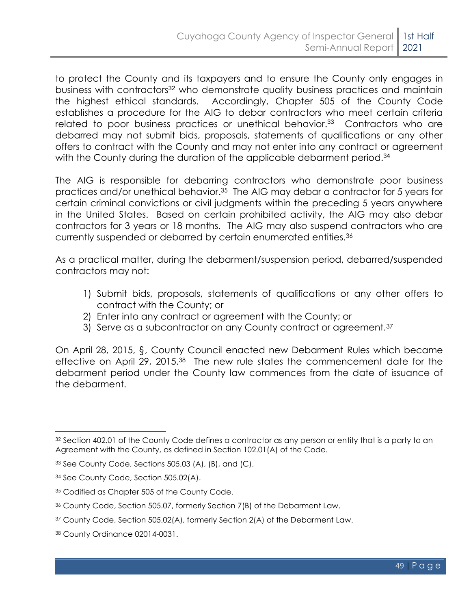to protect the County and its taxpayers and to ensure the County only engages in business with contractors<sup>32</sup> who demonstrate quality business practices and maintain the highest ethical standards. Accordingly, Chapter 505 of the County Code establishes a procedure for the AIG to debar contractors who meet certain criteria related to poor business practices or unethical behavior.<sup>33</sup> Contractors who are debarred may not submit bids, proposals, statements of qualifications or any other offers to contract with the County and may not enter into any contract or agreement with the County during the duration of the applicable debarment period.<sup>34</sup>

The AIG is responsible for debarring contractors who demonstrate poor business practices and/or unethical behavior. <sup>35</sup> The AIG may debar a contractor for 5 years for certain criminal convictions or civil judgments within the preceding 5 years anywhere in the United States. Based on certain prohibited activity, the AIG may also debar contractors for 3 years or 18 months. The AIG may also suspend contractors who are currently suspended or debarred by certain enumerated entities.<sup>36</sup>

As a practical matter, during the debarment/suspension period, debarred/suspended contractors may not:

- 1) Submit bids, proposals, statements of qualifications or any other offers to contract with the County; or
- 2) Enter into any contract or agreement with the County; or
- 3) Serve as a subcontractor on any County contract or agreement.<sup>37</sup>

On April 28, 2015, §, County Council enacted new Debarment Rules which became effective on April 29, 2015.38 The new rule states the commencement date for the debarment period under the County law commences from the date of issuance of the debarment.

<sup>&</sup>lt;sup>32</sup> Section 402.01 of the County Code defines a contractor as any person or entity that is a party to an Agreement with the County, as defined in Section 102.01(A) of the Code.

<sup>33</sup> See County Code, Sections 505.03 (A), (B), and (C).

<sup>34</sup> See County Code, Section 505.02(A).

<sup>35</sup> Codified as Chapter 505 of the County Code.

<sup>36</sup> County Code, Section 505.07, formerly Section 7(B) of the Debarment Law.

<sup>37</sup> County Code, Section 505.02(A), formerly Section 2(A) of the Debarment Law.

<sup>38</sup> County Ordinance 02014-0031.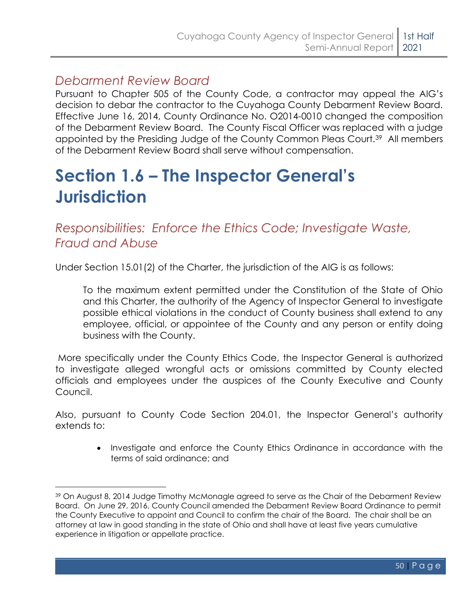### *Debarment Review Board*

Pursuant to Chapter 505 of the County Code, a contractor may appeal the AIG's decision to debar the contractor to the Cuyahoga County Debarment Review Board. Effective June 16, 2014, County Ordinance No. O2014-0010 changed the composition of the Debarment Review Board. The County Fiscal Officer was replaced with a judge appointed by the Presiding Judge of the County Common Pleas Court.39 All members of the Debarment Review Board shall serve without compensation.

## <span id="page-53-0"></span>**Section 1.6 – The Inspector General's Jurisdiction**

*Responsibilities: Enforce the Ethics Code; Investigate Waste, Fraud and Abuse*

Under Section 15.01(2) of the Charter, the jurisdiction of the AIG is as follows:

To the maximum extent permitted under the Constitution of the State of Ohio and this Charter, the authority of the Agency of Inspector General to investigate possible ethical violations in the conduct of County business shall extend to any employee, official, or appointee of the County and any person or entity doing business with the County.

More specifically under the County Ethics Code, the Inspector General is authorized to investigate alleged wrongful acts or omissions committed by County elected officials and employees under the auspices of the County Executive and County Council.

Also, pursuant to County Code Section 204.01, the Inspector General's authority extends to:

> • Investigate and enforce the County Ethics Ordinance in accordance with the terms of said ordinance; and

<sup>39</sup> On August 8, 2014 Judge Timothy McMonagle agreed to serve as the Chair of the Debarment Review Board. On June 29, 2016, County Council amended the Debarment Review Board Ordinance to permit the County Executive to appoint and Council to confirm the chair of the Board. The chair shall be an attorney at law in good standing in the state of Ohio and shall have at least five years cumulative experience in litigation or appellate practice.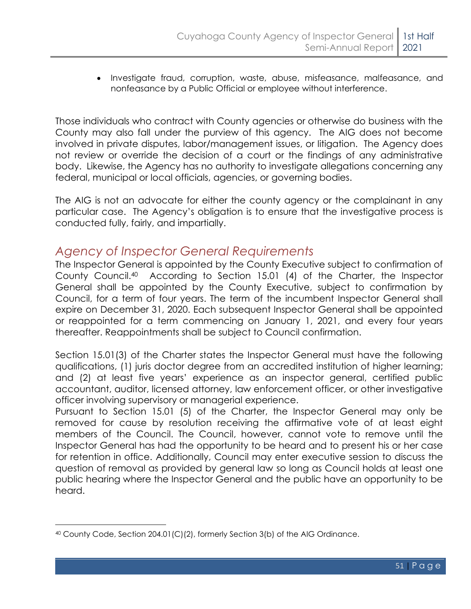• Investigate fraud, corruption, waste, abuse, misfeasance, malfeasance, and nonfeasance by a Public Official or employee without interference.

Those individuals who contract with County agencies or otherwise do business with the County may also fall under the purview of this agency. The AIG does not become involved in private disputes, labor/management issues, or litigation. The Agency does not review or override the decision of a court or the findings of any administrative body. Likewise, the Agency has no authority to investigate allegations concerning any federal, municipal or local officials, agencies, or governing bodies.

The AIG is not an advocate for either the county agency or the complainant in any particular case. The Agency's obligation is to ensure that the investigative process is conducted fully, fairly, and impartially.

#### *Agency of Inspector General Requirements*

The Inspector General is appointed by the County Executive subject to confirmation of County Council.40 According to Section 15.01 (4) of the Charter, the Inspector General shall be appointed by the County Executive, subject to confirmation by Council, for a term of four years. The term of the incumbent Inspector General shall expire on December 31, 2020. Each subsequent Inspector General shall be appointed or reappointed for a term commencing on January 1, 2021, and every four years thereafter. Reappointments shall be subject to Council confirmation.

Section 15.01(3) of the Charter states the Inspector General must have the following qualifications, (1) juris doctor degree from an accredited institution of higher learning; and (2) at least five years' experience as an inspector general, certified public accountant, auditor, licensed attorney, law enforcement officer, or other investigative officer involving supervisory or managerial experience.

Pursuant to Section 15.01 (5) of the Charter, the Inspector General may only be removed for cause by resolution receiving the affirmative vote of at least eight members of the Council. The Council, however, cannot vote to remove until the Inspector General has had the opportunity to be heard and to present his or her case for retention in office. Additionally, Council may enter executive session to discuss the question of removal as provided by general law so long as Council holds at least one public hearing where the Inspector General and the public have an opportunity to be heard.

 $40$  County Code, Section 204.01(C)(2), formerly Section 3(b) of the AIG Ordinance.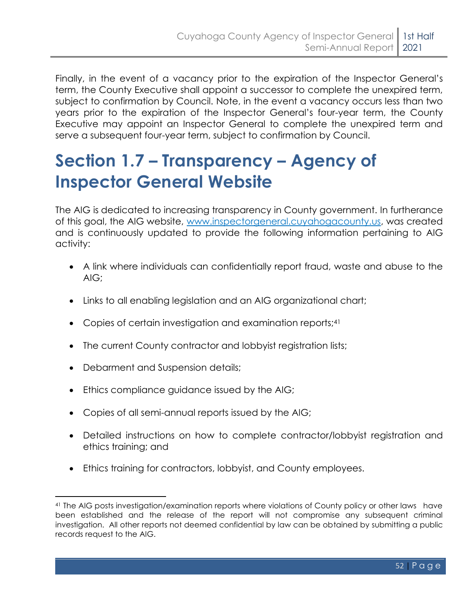Finally, in the event of a vacancy prior to the expiration of the Inspector General's term, the County Executive shall appoint a successor to complete the unexpired term, subject to confirmation by Council. Note, in the event a vacancy occurs less than two years prior to the expiration of the Inspector General's four-year term, the County Executive may appoint an Inspector General to complete the unexpired term and serve a subsequent four-year term, subject to confirmation by Council.

## <span id="page-55-0"></span>**Section 1.7 – Transparency – Agency of Inspector General Website**

The AIG is dedicated to increasing transparency in County government. In furtherance of this goal, the AIG website, www.inspectorgeneral.cuyahogacounty.us, was created and is continuously updated to provide the following information pertaining to AIG activity:

- A link where individuals can confidentially report fraud, waste and abuse to the AIG;
- Links to all enabling legislation and an AIG organizational chart;
- Copies of certain investigation and examination reports;<sup>41</sup>
- The current County contractor and lobbyist registration lists;
- Debarment and Suspension details;
- Ethics compliance guidance issued by the AIG;
- Copies of all semi-annual reports issued by the AIG;
- Detailed instructions on how to complete contractor/lobbyist registration and ethics training; and
- Ethics training for contractors, lobbyist, and County employees.

<sup>41</sup> The AIG posts investigation/examination reports where violations of County policy or other laws have been established and the release of the report will not compromise any subsequent criminal investigation. All other reports not deemed confidential by law can be obtained by submitting a public records request to the AIG.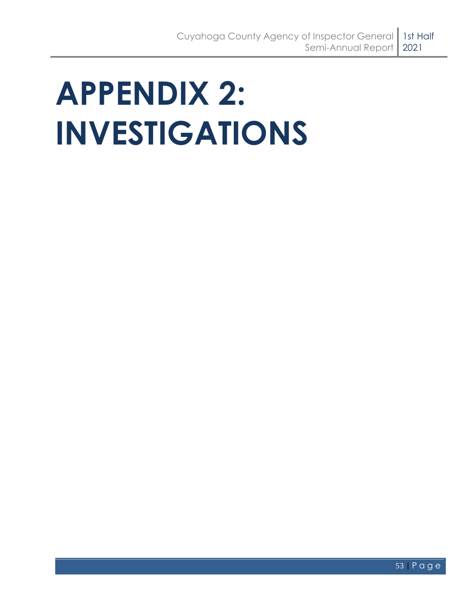# <span id="page-56-0"></span>**APPENDIX 2: INVESTIGATIONS**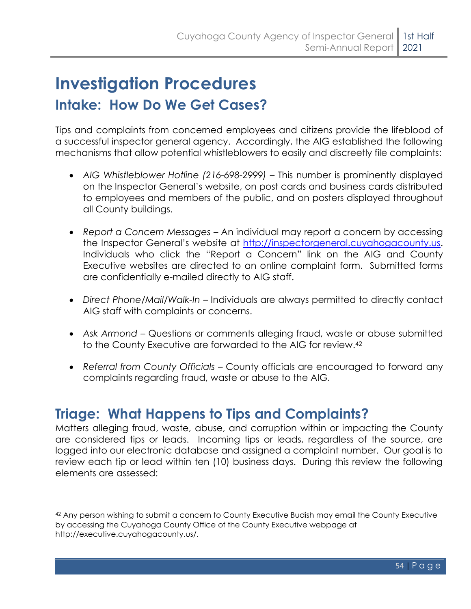## <span id="page-57-0"></span>**Investigation Procedures Intake: How Do We Get Cases?**

Tips and complaints from concerned employees and citizens provide the lifeblood of a successful inspector general agency. Accordingly, the AIG established the following mechanisms that allow potential whistleblowers to easily and discreetly file complaints:

- *AIG Whistleblower Hotline (216-698-2999)* This number is prominently displayed on the Inspector General's website, on post cards and business cards distributed to employees and members of the public, and on posters displayed throughout all County buildings.
- *Report a Concern Messages* An individual may report a concern by accessing the Inspector General's website at [http://inspectorgeneral.cuyahogacounty.us.](http://inspectorgeneral.cuyahogacounty.us/) Individuals who click the "Report a Concern" link on the AIG and County Executive websites are directed to an online complaint form. Submitted forms are confidentially e-mailed directly to AIG staff.
- *Direct Phone/Mail/Walk-In* Individuals are always permitted to directly contact AIG staff with complaints or concerns.
- *Ask Armond* Questions or comments alleging fraud, waste or abuse submitted to the County Executive are forwarded to the AIG for review. 42
- *Referral from County Officials*  County officials are encouraged to forward any complaints regarding fraud, waste or abuse to the AIG.

### **Triage: What Happens to Tips and Complaints?**

Matters alleging fraud, waste, abuse, and corruption within or impacting the County are considered tips or leads. Incoming tips or leads, regardless of the source, are logged into our electronic database and assigned a complaint number. Our goal is to review each tip or lead within ten (10) business days. During this review the following elements are assessed:

<sup>42</sup> Any person wishing to submit a concern to County Executive Budish may email the County Executive by accessing the Cuyahoga County Office of the County Executive webpage at http://executive.cuyahogacounty.us/.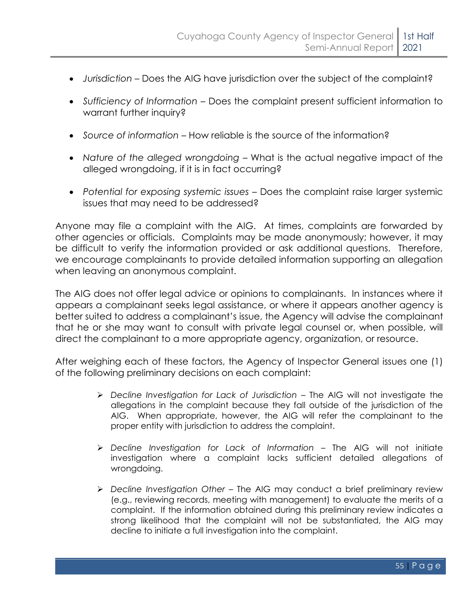- *Jurisdiction* Does the AIG have jurisdiction over the subject of the complaint?
- *Sufficiency of Information* Does the complaint present sufficient information to warrant further inquiry?
- *Source of information* How reliable is the source of the information?
- *Nature of the alleged wrongdoing* What is the actual negative impact of the alleged wrongdoing, if it is in fact occurring?
- *Potential for exposing systemic issues* Does the complaint raise larger systemic issues that may need to be addressed?

Anyone may file a complaint with the AIG. At times, complaints are forwarded by other agencies or officials. Complaints may be made anonymously; however, it may be difficult to verify the information provided or ask additional questions. Therefore, we encourage complainants to provide detailed information supporting an allegation when leaving an anonymous complaint.

The AIG does not offer legal advice or opinions to complainants. In instances where it appears a complainant seeks legal assistance, or where it appears another agency is better suited to address a complainant's issue, the Agency will advise the complainant that he or she may want to consult with private legal counsel or, when possible, will direct the complainant to a more appropriate agency, organization, or resource.

After weighing each of these factors, the Agency of Inspector General issues one (1) of the following preliminary decisions on each complaint:

- ➢ *Decline Investigation for Lack of Jurisdiction* The AIG will not investigate the allegations in the complaint because they fall outside of the jurisdiction of the AIG. When appropriate, however, the AIG will refer the complainant to the proper entity with jurisdiction to address the complaint.
- ➢ *Decline Investigation for Lack of Information*  The AIG will not initiate investigation where a complaint lacks sufficient detailed allegations of wrongdoing.
- ➢ *Decline Investigation Other –* The AIG may conduct a brief preliminary review (e.g., reviewing records, meeting with management) to evaluate the merits of a complaint. If the information obtained during this preliminary review indicates a strong likelihood that the complaint will not be substantiated, the AIG may decline to initiate a full investigation into the complaint.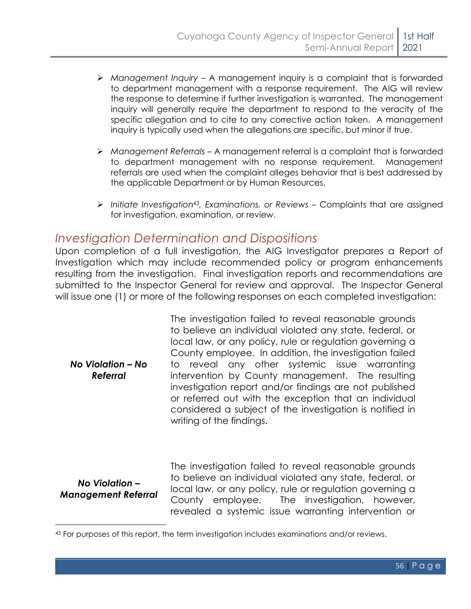- ➢ *Management Inquiry* A management inquiry is a complaint that is forwarded to department management with a response requirement. The AIG will review the response to determine if further investigation is warranted. The management inquiry will generally require the department to respond to the veracity of the specific allegation and to cite to any corrective action taken. A management inquiry is typically used when the allegations are specific, but minor if true.
- ➢ *Management Referrals* A management referral is a complaint that is forwarded to department management with no response requirement. Management referrals are used when the complaint alleges behavior that is best addressed by the applicable Department or by Human Resources.
- > Initiate Investigation<sup>43</sup>, Examinations, or Reviews Complaints that are assigned for investigation, examination, or review.

#### *Investigation Determination and Dispositions*

Upon completion of a full investigation, the AIG Investigator prepares a Report of Investigation which may include recommended policy or program enhancements resulting from the investigation. Final investigation reports and recommendations are submitted to the Inspector General for review and approval. The Inspector General will issue one (1) or more of the following responses on each completed investigation:

*No Violation – No Referral* The investigation failed to reveal reasonable grounds to believe an individual violated any state, federal, or local law, or any policy, rule or regulation governing a County employee. In addition, the investigation failed to reveal any other systemic issue warranting intervention by County management. The resulting investigation report and/or findings are not published or referred out with the exception that an individual considered a subject of the investigation is notified in writing of the findings.

*No Violation – Management Referral* The investigation failed to reveal reasonable grounds to believe an individual violated any state, federal, or local law, or any policy, rule or regulation governing a County employee. The investigation, however, revealed a systemic issue warranting intervention or

<sup>43</sup> For purposes of this report, the term investigation includes examinations and/or reviews.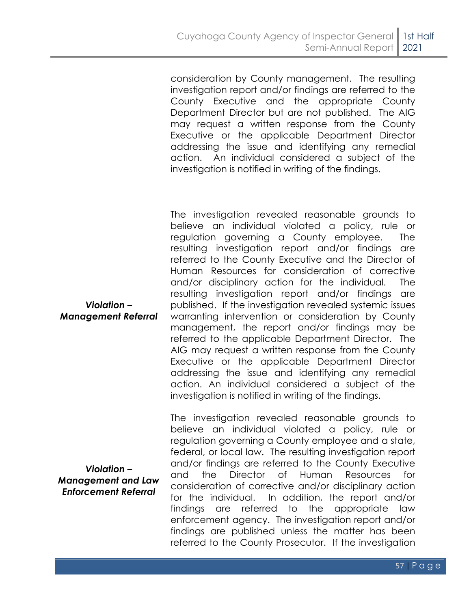consideration by County management. The resulting investigation report and/or findings are referred to the County Executive and the appropriate County Department Director but are not published. The AIG may request a written response from the County Executive or the applicable Department Director addressing the issue and identifying any remedial action. An individual considered a subject of the investigation is notified in writing of the findings.

The investigation revealed reasonable grounds to believe an individual violated a policy, rule or regulation governing a County employee. The resulting investigation report and/or findings are referred to the County Executive and the Director of Human Resources for consideration of corrective and/or disciplinary action for the individual. The resulting investigation report and/or findings are published. If the investigation revealed systemic issues warranting intervention or consideration by County management, the report and/or findings may be referred to the applicable Department Director. The AIG may request a written response from the County Executive or the applicable Department Director addressing the issue and identifying any remedial action. An individual considered a subject of the investigation is notified in writing of the findings.

The investigation revealed reasonable grounds to believe an individual violated a policy, rule or regulation governing a County employee and a state, federal, or local law. The resulting investigation report and/or findings are referred to the County Executive and the Director of Human Resources for consideration of corrective and/or disciplinary action for the individual. In addition, the report and/or findings are referred to the appropriate law enforcement agency. The investigation report and/or findings are published unless the matter has been referred to the County Prosecutor. If the investigation

*Violation – Management Referral*

*Violation – Management and Law Enforcement Referral*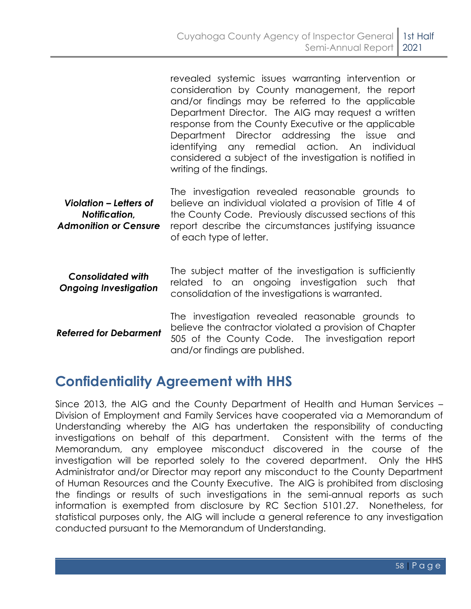|                                                                         | revealed systemic issues warranting intervention or<br>consideration by County management, the report<br>and/or findings may be referred to the applicable<br>Department Director. The AIG may request a written<br>response from the County Executive or the applicable<br>Department Director addressing the issue and<br>identifying any remedial action. An individual<br>considered a subject of the investigation is notified in<br>writing of the findings. |
|-------------------------------------------------------------------------|--------------------------------------------------------------------------------------------------------------------------------------------------------------------------------------------------------------------------------------------------------------------------------------------------------------------------------------------------------------------------------------------------------------------------------------------------------------------|
| Violation – Letters of<br>Notification,<br><b>Admonition or Censure</b> | The investigation revealed reasonable grounds to<br>believe an individual violated a provision of Title 4 of<br>the County Code. Previously discussed sections of this<br>report describe the circumstances justifying issuance<br>of each type of letter.                                                                                                                                                                                                         |
| <b>Consolidated with</b><br><b>Ongoing Investigation</b>                | The subject matter of the investigation is sufficiently<br>related to an ongoing investigation such<br>that<br>consolidation of the investigations is warranted.                                                                                                                                                                                                                                                                                                   |
| <b>Referred for Debarment</b>                                           | The investigation revealed reasonable grounds to<br>believe the contractor violated a provision of Chapter<br>505 of the County Code. The investigation report<br>and/or findings are published.                                                                                                                                                                                                                                                                   |

### **Confidentiality Agreement with HHS**

Since 2013, the AIG and the County Department of Health and Human Services – Division of Employment and Family Services have cooperated via a Memorandum of Understanding whereby the AIG has undertaken the responsibility of conducting investigations on behalf of this department. Consistent with the terms of the Memorandum, any employee misconduct discovered in the course of the investigation will be reported solely to the covered department. Only the HHS Administrator and/or Director may report any misconduct to the County Department of Human Resources and the County Executive. The AIG is prohibited from disclosing the findings or results of such investigations in the semi-annual reports as such information is exempted from disclosure by RC Section 5101.27. Nonetheless, for statistical purposes only, the AIG will include a general reference to any investigation conducted pursuant to the Memorandum of Understanding.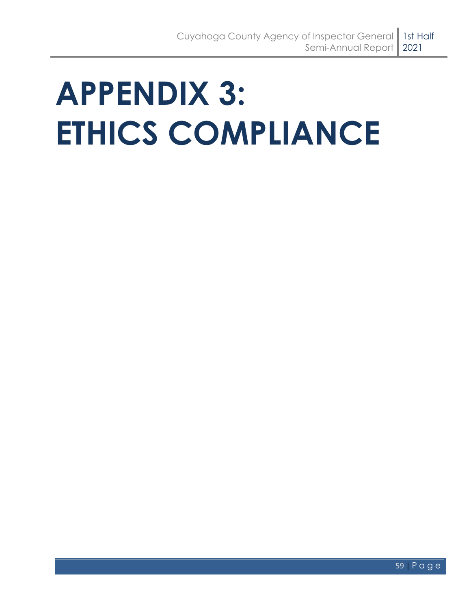# <span id="page-62-0"></span>**APPENDIX 3: ETHICS COMPLIANCE**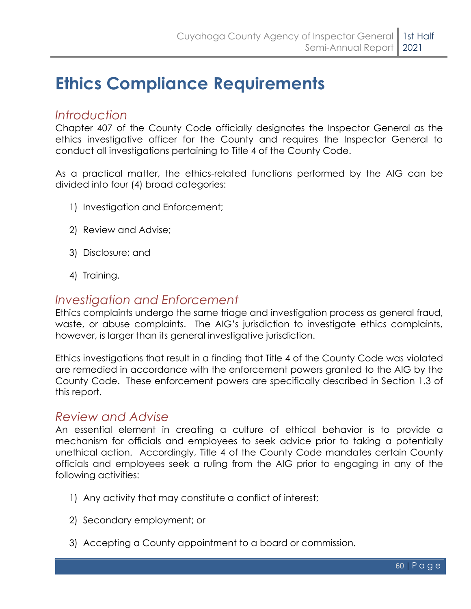## <span id="page-63-0"></span>**Ethics Compliance Requirements**

#### *Introduction*

Chapter 407 of the County Code officially designates the Inspector General as the ethics investigative officer for the County and requires the Inspector General to conduct all investigations pertaining to Title 4 of the County Code.

As a practical matter, the ethics-related functions performed by the AIG can be divided into four (4) broad categories:

- 1) Investigation and Enforcement;
- 2) Review and Advise;
- 3) Disclosure; and
- 4) Training.

#### *Investigation and Enforcement*

Ethics complaints undergo the same triage and investigation process as general fraud, waste, or abuse complaints. The AIG's jurisdiction to investigate ethics complaints, however, is larger than its general investigative jurisdiction.

Ethics investigations that result in a finding that Title 4 of the County Code was violated are remedied in accordance with the enforcement powers granted to the AIG by the County Code. These enforcement powers are specifically described in Section 1.3 of this report.

#### *Review and Advise*

An essential element in creating a culture of ethical behavior is to provide a mechanism for officials and employees to seek advice prior to taking a potentially unethical action. Accordingly, Title 4 of the County Code mandates certain County officials and employees seek a ruling from the AIG prior to engaging in any of the following activities:

- 1) Any activity that may constitute a conflict of interest;
- 2) Secondary employment; or
- 3) Accepting a County appointment to a board or commission.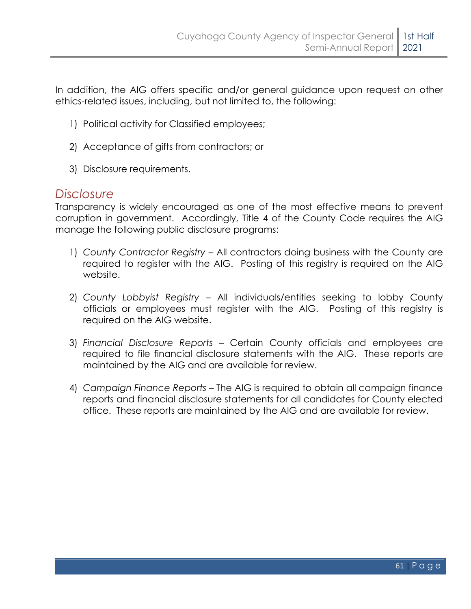In addition, the AIG offers specific and/or general guidance upon request on other ethics-related issues, including, but not limited to, the following:

- 1) Political activity for Classified employees;
- 2) Acceptance of gifts from contractors; or
- 3) Disclosure requirements.

#### *Disclosure*

Transparency is widely encouraged as one of the most effective means to prevent corruption in government. Accordingly, Title 4 of the County Code requires the AIG manage the following public disclosure programs:

- 1) *County Contractor Registry* All contractors doing business with the County are required to register with the AIG. Posting of this registry is required on the AIG website.
- 2) *County Lobbyist Registry*  All individuals/entities seeking to lobby County officials or employees must register with the AIG. Posting of this registry is required on the AIG website.
- 3) *Financial Disclosure Reports –* Certain County officials and employees are required to file financial disclosure statements with the AIG. These reports are maintained by the AIG and are available for review.
- 4) *Campaign Finance Reports* The AIG is required to obtain all campaign finance reports and financial disclosure statements for all candidates for County elected office. These reports are maintained by the AIG and are available for review.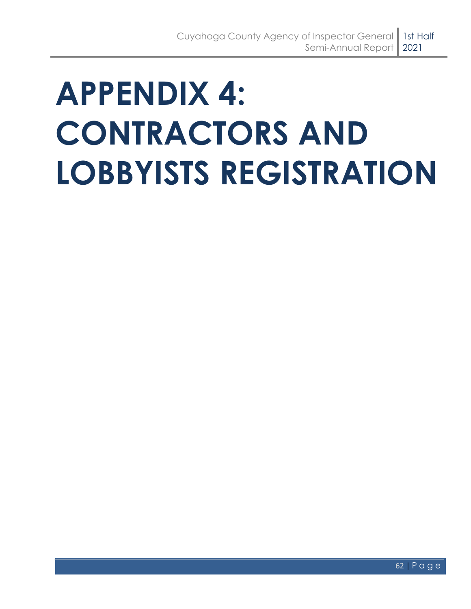# <span id="page-65-0"></span>**APPENDIX 4: CONTRACTORS AND LOBBYISTS REGISTRATION**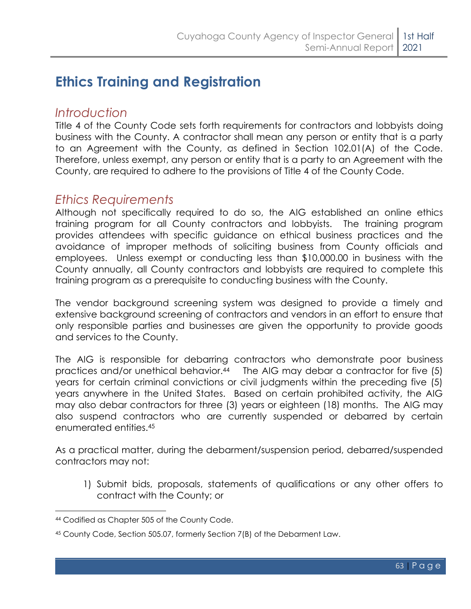## **Ethics Training and Registration**

#### *Introduction*

Title 4 of the County Code sets forth requirements for contractors and lobbyists doing business with the County. A contractor shall mean any person or entity that is a party to an Agreement with the County, as defined in Section 102.01(A) of the Code. Therefore, unless exempt, any person or entity that is a party to an Agreement with the County, are required to adhere to the provisions of Title 4 of the County Code.

#### *Ethics Requirements*

Although not specifically required to do so, the AIG established an online ethics training program for all County contractors and lobbyists. The training program provides attendees with specific guidance on ethical business practices and the avoidance of improper methods of soliciting business from County officials and employees. Unless exempt or conducting less than \$10,000.00 in business with the County annually, all County contractors and lobbyists are required to complete this training program as a prerequisite to conducting business with the County.

The vendor background screening system was designed to provide a timely and extensive background screening of contractors and vendors in an effort to ensure that only responsible parties and businesses are given the opportunity to provide goods and services to the County.

The AIG is responsible for debarring contractors who demonstrate poor business practices and/or unethical behavior. <sup>44</sup> The AIG may debar a contractor for five (5) years for certain criminal convictions or civil judgments within the preceding five (5) years anywhere in the United States. Based on certain prohibited activity, the AIG may also debar contractors for three (3) years or eighteen (18) months. The AIG may also suspend contractors who are currently suspended or debarred by certain enumerated entities.<sup>45</sup>

As a practical matter, during the debarment/suspension period, debarred/suspended contractors may not:

1) Submit bids, proposals, statements of qualifications or any other offers to contract with the County; or

<sup>44</sup> Codified as Chapter 505 of the County Code.

<sup>45</sup> County Code, Section 505.07, formerly Section 7(B) of the Debarment Law.